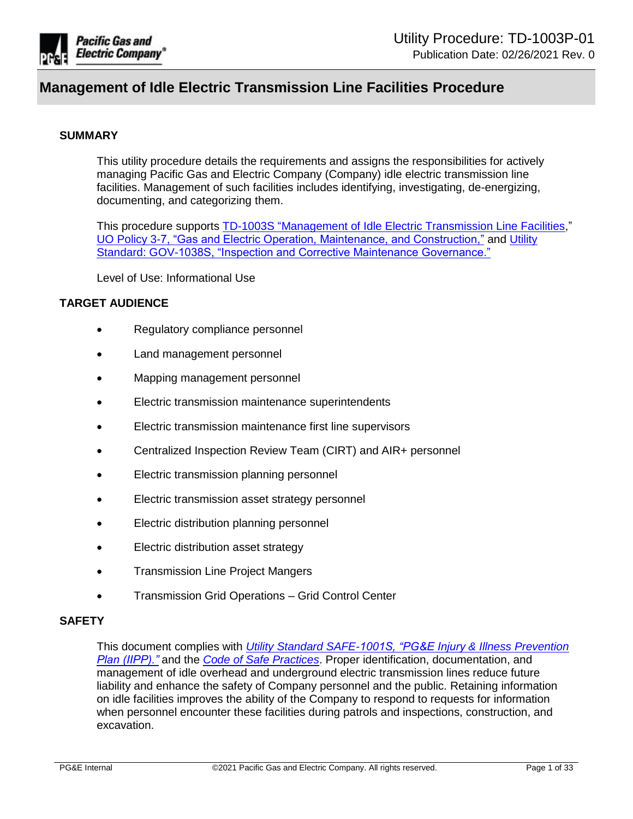

#### **SUMMARY**

This utility procedure details the requirements and assigns the responsibilities for actively managing Pacific Gas and Electric Company (Company) idle electric transmission line facilities. Management of such facilities includes identifying, investigating, de-energizing, documenting, and categorizing them.

This procedure supports [TD-1003S "Management of Idle Electric Transmission Line Facilities,](https://ecmappwlsp01c2.comp.pge.com/TILVIEWER?chronicleId=09131aad80e0349f&vd=true&device=false)" [UO Policy 3-7, "Gas and Electric Operation, Maintenance, and Construction,"](http://wwwedm3/cgi-bin/getdocTDM.asp?itemid=972030001) and [Utility](https://edrm.comp.pge.com/D2/servlet/Download?auth=basic&event_name=open&version=PUBLISHED&id=09131aad8b7153c0&format=pdf&_docbase=pge_ecm)  [Standard: GOV-1038S, "Inspection and Corrective Maintenance Governance."](https://edrm.comp.pge.com/D2/servlet/Download?auth=basic&event_name=open&version=PUBLISHED&id=09131aad8b7153c0&format=pdf&_docbase=pge_ecm)

Level of Use: Informational Use

### **TARGET AUDIENCE**

- Regulatory compliance personnel
- Land management personnel
- Mapping management personnel
- Electric transmission maintenance superintendents
- Electric transmission maintenance first line supervisors
- Centralized Inspection Review Team (CIRT) and AIR+ personnel
- Electric transmission planning personnel
- Electric transmission asset strategy personnel
- **Electric distribution planning personnel**
- Electric distribution asset strategy
- Transmission Line Project Mangers
- Transmission Grid Operations Grid Control Center

#### **SAFETY**

This document complies with *[Utility Standard SAFE-1001S, "PG&E Injury](https://ecmappwlsp01c2.comp.pge.com/TILVIEWER?chronicleId=09131aad80dfbb09&vd=false&device=false) & Illness Prevention [Plan \(IIPP\)."](https://ecmappwlsp01c2.comp.pge.com/TILVIEWER?chronicleId=09131aad80dfbb09&vd=false&device=false)* and the *[Code of Safe Practices](http://pgeweb.utility.pge.com/safety/)*. Proper identification, documentation, and management of idle overhead and underground electric transmission lines reduce future liability and enhance the safety of Company personnel and the public. Retaining information on idle facilities improves the ability of the Company to respond to requests for information when personnel encounter these facilities during patrols and inspections, construction, and excavation.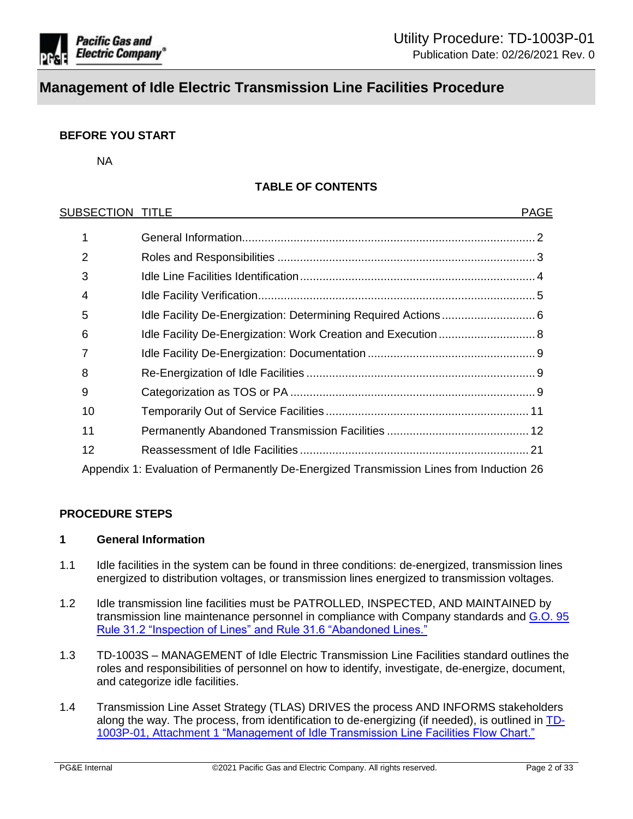

## **BEFORE YOU START**

NA

## **TABLE OF CONTENTS**

| SUBSECTION TITLE |                                                                                         | <b>PAGE</b> |
|------------------|-----------------------------------------------------------------------------------------|-------------|
|                  |                                                                                         |             |
| 2                |                                                                                         |             |
| 3                |                                                                                         |             |
| 4                |                                                                                         |             |
| 5                |                                                                                         |             |
| 6                |                                                                                         |             |
|                  |                                                                                         |             |
| 8                |                                                                                         |             |
| 9                |                                                                                         |             |
| 10               |                                                                                         |             |
| 11               |                                                                                         |             |
| 12               |                                                                                         |             |
|                  | Appendix 1: Evaluation of Permanently De-Energized Transmission Lines from Induction 26 |             |

#### **PROCEDURE STEPS**

#### <span id="page-1-0"></span>**1 General Information**

- 1.1 Idle facilities in the system can be found in three conditions: de-energized, transmission lines energized to distribution voltages, or transmission lines energized to transmission voltages.
- 1.2 Idle transmission line facilities must be PATROLLED, INSPECTED, AND MAINTAINED by transmission line maintenance personnel in compliance with Company standards and [G.O. 95](http://docs.cpuc.ca.gov/published/Graphics/13352.PDF)  [Rule 31.2 "Inspection of Lines" and Rule 31.6 "Abandoned Lines."](http://docs.cpuc.ca.gov/published/Graphics/13352.PDF)
- 1.3 TD-1003S MANAGEMENT of Idle Electric Transmission Line Facilities standard outlines the roles and responsibilities of personnel on how to identify, investigate, de-energize, document, and categorize idle facilities.
- 1.4 Transmission Line Asset Strategy (TLAS) DRIVES the process AND INFORMS stakeholders along the way. The process, from identification to de-energizing (if needed), is outlined in [TD-](https://ecmappwlsp01c2.comp.pge.com/TILVIEWER?chronicleId=09131aad8d9296e9&vd=true&device=false)1003P-01, Attachment 1 ["Management of Idle Transmission Line Facilities Flow Chart."](https://ecmappwlsp01c2.comp.pge.com/TILVIEWER?chronicleId=09131aad8d9296e9&vd=true&device=false)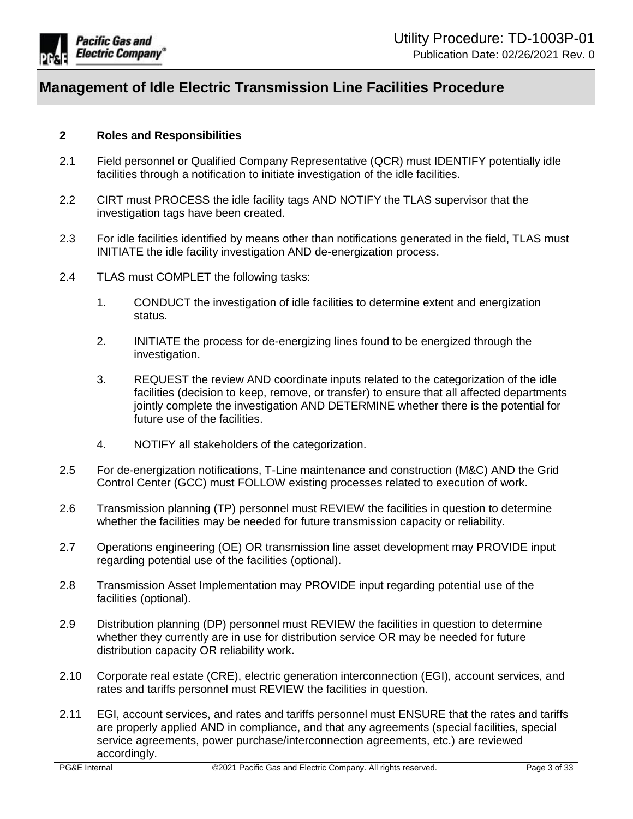

### <span id="page-2-0"></span>**2 Roles and Responsibilities**

- 2.1 Field personnel or Qualified Company Representative (QCR) must IDENTIFY potentially idle facilities through a notification to initiate investigation of the idle facilities.
- 2.2 CIRT must PROCESS the idle facility tags AND NOTIFY the TLAS supervisor that the investigation tags have been created.
- 2.3 For idle facilities identified by means other than notifications generated in the field, TLAS must INITIATE the idle facility investigation AND de-energization process.
- 2.4 TLAS must COMPLET the following tasks:
	- 1. CONDUCT the investigation of idle facilities to determine extent and energization status.
	- 2. INITIATE the process for de-energizing lines found to be energized through the investigation.
	- 3. REQUEST the review AND coordinate inputs related to the categorization of the idle facilities (decision to keep, remove, or transfer) to ensure that all affected departments jointly complete the investigation AND DETERMINE whether there is the potential for future use of the facilities.
	- 4. NOTIFY all stakeholders of the categorization.
- 2.5 For de-energization notifications, T-Line maintenance and construction (M&C) AND the Grid Control Center (GCC) must FOLLOW existing processes related to execution of work.
- 2.6 Transmission planning (TP) personnel must REVIEW the facilities in question to determine whether the facilities may be needed for future transmission capacity or reliability.
- 2.7 Operations engineering (OE) OR transmission line asset development may PROVIDE input regarding potential use of the facilities (optional).
- 2.8 Transmission Asset Implementation may PROVIDE input regarding potential use of the facilities (optional).
- 2.9 Distribution planning (DP) personnel must REVIEW the facilities in question to determine whether they currently are in use for distribution service OR may be needed for future distribution capacity OR reliability work.
- 2.10 Corporate real estate (CRE), electric generation interconnection (EGI), account services, and rates and tariffs personnel must REVIEW the facilities in question.
- 2.11 EGI, account services, and rates and tariffs personnel must ENSURE that the rates and tariffs are properly applied AND in compliance, and that any agreements (special facilities, special service agreements, power purchase/interconnection agreements, etc.) are reviewed accordingly.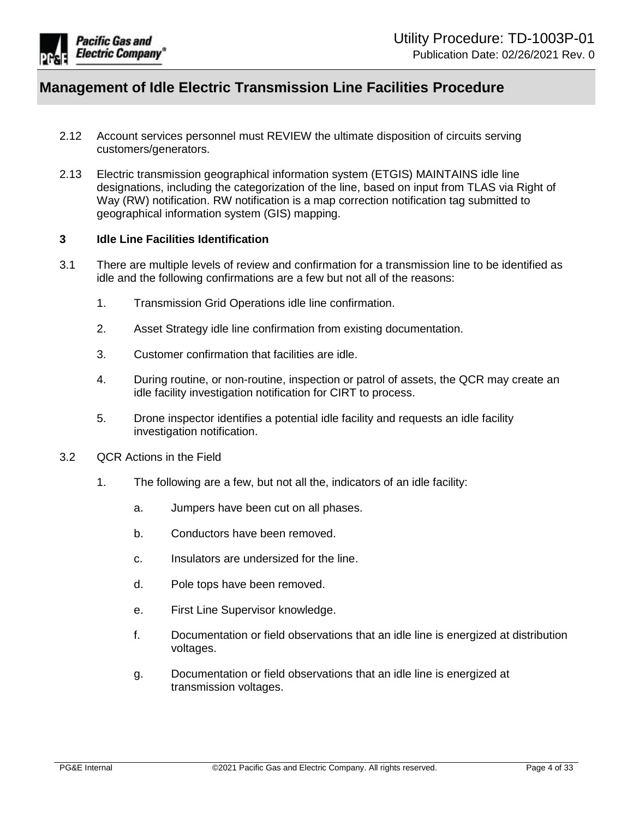

- 2.12 Account services personnel must REVIEW the ultimate disposition of circuits serving customers/generators.
- 2.13 Electric transmission geographical information system (ETGIS) MAINTAINS idle line designations, including the categorization of the line, based on input from TLAS via Right of Way (RW) notification. RW notification is a map correction notification tag submitted to geographical information system (GIS) mapping.

### <span id="page-3-0"></span>**3 Idle Line Facilities Identification**

- 3.1 There are multiple levels of review and confirmation for a transmission line to be identified as idle and the following confirmations are a few but not all of the reasons:
	- 1. Transmission Grid Operations idle line confirmation.
	- 2. Asset Strategy idle line confirmation from existing documentation.
	- 3. Customer confirmation that facilities are idle.
	- 4. During routine, or non-routine, inspection or patrol of assets, the QCR may create an idle facility investigation notification for CIRT to process.
	- 5. Drone inspector identifies a potential idle facility and requests an idle facility investigation notification.
- 3.2 QCR Actions in the Field
	- 1. The following are a few, but not all the, indicators of an idle facility:
		- a. Jumpers have been cut on all phases.
		- b. Conductors have been removed.
		- c. Insulators are undersized for the line.
		- d. Pole tops have been removed.
		- e. First Line Supervisor knowledge.
		- f. Documentation or field observations that an idle line is energized at distribution voltages.
		- g. Documentation or field observations that an idle line is energized at transmission voltages.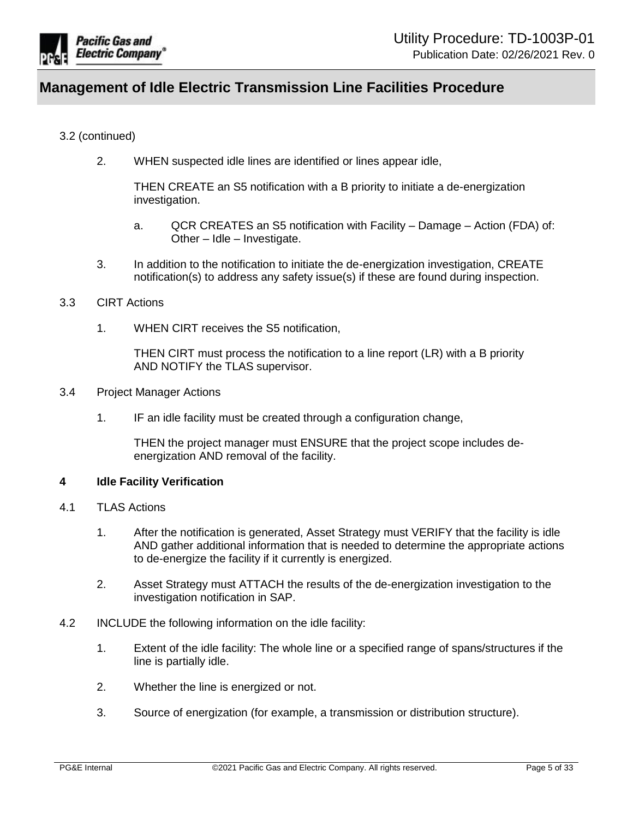

## 3.2 (continued)

2. WHEN suspected idle lines are identified or lines appear idle,

THEN CREATE an S5 notification with a B priority to initiate a de-energization investigation.

- a. QCR CREATES an S5 notification with Facility Damage Action (FDA) of: Other – Idle – Investigate.
- 3. In addition to the notification to initiate the de-energization investigation, CREATE notification(s) to address any safety issue(s) if these are found during inspection.

### 3.3 CIRT Actions

1. WHEN CIRT receives the S5 notification,

THEN CIRT must process the notification to a line report (LR) with a B priority AND NOTIFY the TLAS supervisor.

- 3.4 Project Manager Actions
	- 1. IF an idle facility must be created through a configuration change,

THEN the project manager must ENSURE that the project scope includes deenergization AND removal of the facility.

#### <span id="page-4-0"></span>**4 Idle Facility Verification**

- <span id="page-4-1"></span>4.1 TLAS Actions
	- 1. After the notification is generated, Asset Strategy must VERIFY that the facility is idle AND gather additional information that is needed to determine the appropriate actions to de-energize the facility if it currently is energized.
	- 2. Asset Strategy must ATTACH the results of the de-energization investigation to the investigation notification in SAP.
- 4.2 INCLUDE the following information on the idle facility:
	- 1. Extent of the idle facility: The whole line or a specified range of spans/structures if the line is partially idle.
	- 2. Whether the line is energized or not.
	- 3. Source of energization (for example, a transmission or distribution structure).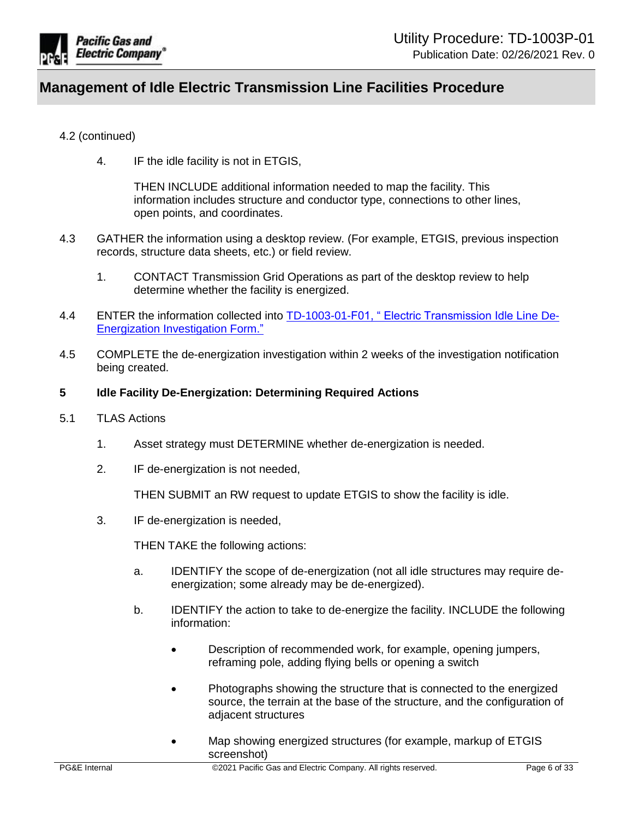

## 4.2 (continued)

4. IF the idle facility is not in ETGIS,

THEN INCLUDE additional information needed to map the facility. This information includes structure and conductor type, connections to other lines, open points, and coordinates.

- 4.3 GATHER the information using a desktop review. (For example, ETGIS, previous inspection records, structure data sheets, etc.) or field review.
	- 1. CONTACT Transmission Grid Operations as part of the desktop review to help determine whether the facility is energized.
- 4.4 ENTER the information collected into [TD-1003-01-F01, " Electric Transmission Idle Line](https://ecmappwlsp01c2.comp.pge.com/TILVIEWER?chronicleId=09131aad8d8f2a73&vd=true&device=false) De-[Energization Investigation Form."](https://ecmappwlsp01c2.comp.pge.com/TILVIEWER?chronicleId=09131aad8d8f2a73&vd=true&device=false)
- 4.5 COMPLETE the de-energization investigation within 2 weeks of the investigation notification being created.
- <span id="page-5-0"></span>**5 Idle Facility De-Energization: Determining Required Actions**
- 5.1 TLAS Actions
	- 1. Asset strategy must DETERMINE whether de-energization is needed.
	- 2. IF de-energization is not needed,

THEN SUBMIT an RW request to update ETGIS to show the facility is idle.

3. IF de-energization is needed,

THEN TAKE the following actions:

- a. IDENTIFY the scope of de-energization (not all idle structures may require deenergization; some already may be de-energized).
- b. IDENTIFY the action to take to de-energize the facility. INCLUDE the following information:
	- Description of recommended work, for example, opening jumpers, reframing pole, adding flying bells or opening a switch
	- Photographs showing the structure that is connected to the energized source, the terrain at the base of the structure, and the configuration of adjacent structures
	- Map showing energized structures (for example, markup of ETGIS screenshot)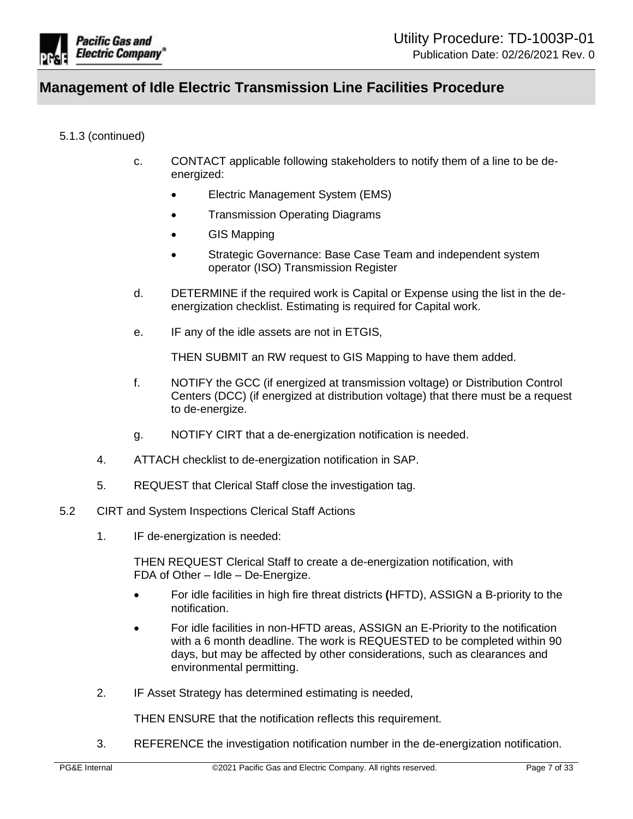

### 5.1.3 (continued)

- c. CONTACT applicable following stakeholders to notify them of a line to be deenergized:
	- Electric Management System (EMS)
	- Transmission Operating Diagrams
	- GIS Mapping
	- Strategic Governance: Base Case Team and independent system operator (ISO) Transmission Register
- d. DETERMINE if the required work is Capital or Expense using the list in the deenergization checklist. Estimating is required for Capital work.
- e. IF any of the idle assets are not in ETGIS,

THEN SUBMIT an RW request to GIS Mapping to have them added.

- f. NOTIFY the GCC (if energized at transmission voltage) or Distribution Control Centers (DCC) (if energized at distribution voltage) that there must be a request to de-energize.
- g. NOTIFY CIRT that a de-energization notification is needed.
- 4. ATTACH checklist to de-energization notification in SAP.
- 5. REQUEST that Clerical Staff close the investigation tag.
- 5.2 CIRT and System Inspections Clerical Staff Actions
	- 1. IF de-energization is needed:

THEN REQUEST Clerical Staff to create a de-energization notification, with FDA of Other – Idle – De-Energize.

- For idle facilities in high fire threat districts **(**HFTD), ASSIGN a B-priority to the notification.
- For idle facilities in non-HFTD areas, ASSIGN an E-Priority to the notification with a 6 month deadline. The work is REQUESTED to be completed within 90 days, but may be affected by other considerations, such as clearances and environmental permitting.
- 2. IF Asset Strategy has determined estimating is needed,

THEN ENSURE that the notification reflects this requirement.

3. REFERENCE the investigation notification number in the de-energization notification.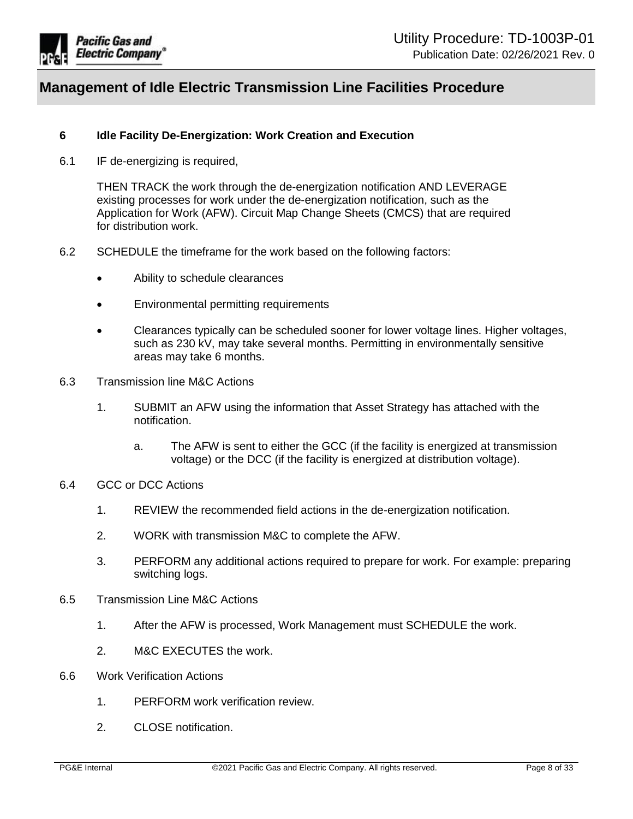

### <span id="page-7-0"></span>**6 Idle Facility De-Energization: Work Creation and Execution**

6.1 IF de-energizing is required,

THEN TRACK the work through the de-energization notification AND LEVERAGE existing processes for work under the de-energization notification, such as the Application for Work (AFW). Circuit Map Change Sheets (CMCS) that are required for distribution work.

- 6.2 SCHEDULE the timeframe for the work based on the following factors:
	- Ability to schedule clearances
	- Environmental permitting requirements
	- Clearances typically can be scheduled sooner for lower voltage lines. Higher voltages, such as 230 kV, may take several months. Permitting in environmentally sensitive areas may take 6 months.
- 6.3 Transmission line M&C Actions
	- 1. SUBMIT an AFW using the information that Asset Strategy has attached with the notification.
		- a. The AFW is sent to either the GCC (if the facility is energized at transmission voltage) or the DCC (if the facility is energized at distribution voltage).
- 6.4 GCC or DCC Actions
	- 1. REVIEW the recommended field actions in the de-energization notification.
	- 2. WORK with transmission M&C to complete the AFW.
	- 3. PERFORM any additional actions required to prepare for work. For example: preparing switching logs.
- 6.5 Transmission Line M&C Actions
	- 1. After the AFW is processed, Work Management must SCHEDULE the work.
	- 2. M&C EXECUTES the work.
- <span id="page-7-1"></span>6.6 Work Verification Actions
	- 1. PERFORM work verification review.
	- 2. CLOSE notification.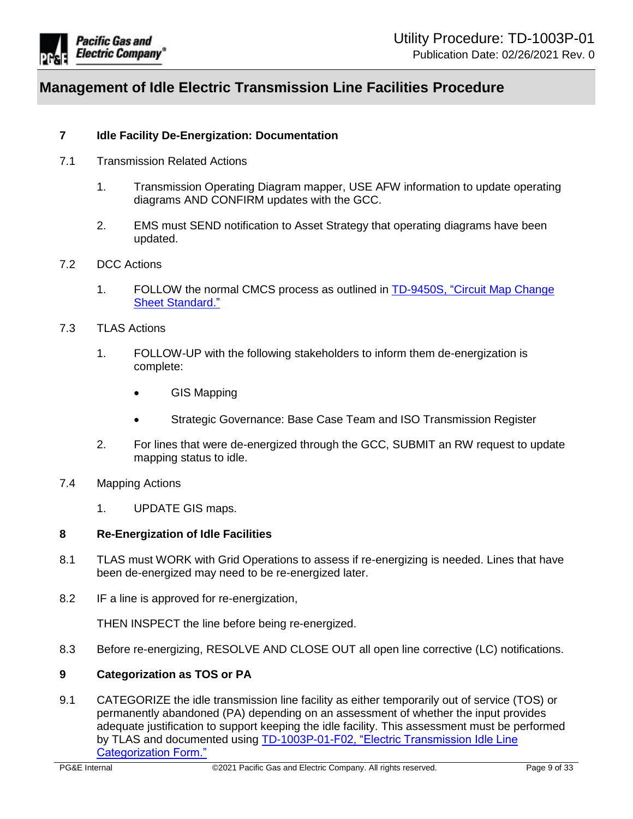

## **7 Idle Facility De-Energization: Documentation**

- 7.1 Transmission Related Actions
	- 1. Transmission Operating Diagram mapper, USE AFW information to update operating diagrams AND CONFIRM updates with the GCC.
	- 2. EMS must SEND notification to Asset Strategy that operating diagrams have been updated.

#### 7.2 DCC Actions

- 1. FOLLOW the normal CMCS process as outlined in [TD-9450S, "Circuit Map Change](https://ecmappwlsp01c2.comp.pge.com/TILVIEWER?chronicleId=09131aad80e04a5c&vd=true&device=false)  [Sheet Standard."](https://ecmappwlsp01c2.comp.pge.com/TILVIEWER?chronicleId=09131aad80e04a5c&vd=true&device=false)
- 7.3 TLAS Actions
	- 1. FOLLOW-UP with the following stakeholders to inform them de-energization is complete:
		- GIS Mapping
		- Strategic Governance: Base Case Team and ISO Transmission Register
	- 2. For lines that were de-energized through the GCC, SUBMIT an RW request to update mapping status to idle.
- 7.4 Mapping Actions
	- 1. UPDATE GIS maps.

#### <span id="page-8-0"></span>**8 Re-Energization of Idle Facilities**

- 8.1 TLAS must WORK with Grid Operations to assess if re-energizing is needed. Lines that have been de-energized may need to be re-energized later.
- 8.2 IF a line is approved for re-energization,

THEN INSPECT the line before being re-energized.

8.3 Before re-energizing, RESOLVE AND CLOSE OUT all open line corrective (LC) notifications.

#### <span id="page-8-1"></span>**9 Categorization as TOS or PA**

<span id="page-8-2"></span>9.1 CATEGORIZE the idle transmission line facility as either temporarily out of service (TOS) or permanently abandoned (PA) depending on an assessment of whether the input provides adequate justification to support keeping the idle facility. This assessment must be performed by TLAS and documented using [TD-1003P-01-F02, "Electric Transmission Idle Line](https://ecmappwlsp01c2.comp.pge.com/TILVIEWER?chronicleId=09131aad8d8f2a74&vd=true&device=false)  [Categorization Form."](https://ecmappwlsp01c2.comp.pge.com/TILVIEWER?chronicleId=09131aad8d8f2a74&vd=true&device=false)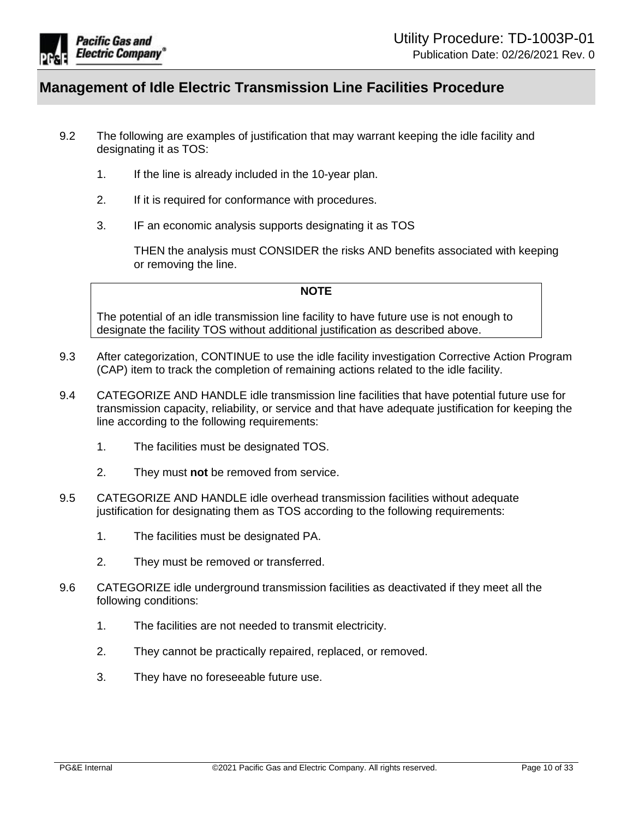

- 9.2 The following are examples of justification that may warrant keeping the idle facility and designating it as TOS:
	- 1. If the line is already included in the 10-year plan.
	- 2. If it is required for conformance with procedures.
	- 3. IF an economic analysis supports designating it as TOS

THEN the analysis must CONSIDER the risks AND benefits associated with keeping or removing the line.

#### **NOTE**

The potential of an idle transmission line facility to have future use is not enough to designate the facility TOS without additional justification as described above.

- 9.3 After categorization, CONTINUE to use the idle facility investigation Corrective Action Program (CAP) item to track the completion of remaining actions related to the idle facility.
- 9.4 CATEGORIZE AND HANDLE idle transmission line facilities that have potential future use for transmission capacity, reliability, or service and that have adequate justification for keeping the line according to the following requirements:
	- 1. The facilities must be designated TOS.
	- 2. They must **not** be removed from service.
- 9.5 CATEGORIZE AND HANDLE idle overhead transmission facilities without adequate justification for designating them as TOS according to the following requirements:
	- 1. The facilities must be designated PA.
	- 2. They must be removed or transferred.
- <span id="page-9-0"></span>9.6 CATEGORIZE idle underground transmission facilities as deactivated if they meet all the following conditions:
	- 1. The facilities are not needed to transmit electricity.
	- 2. They cannot be practically repaired, replaced, or removed.
	- 3. They have no foreseeable future use.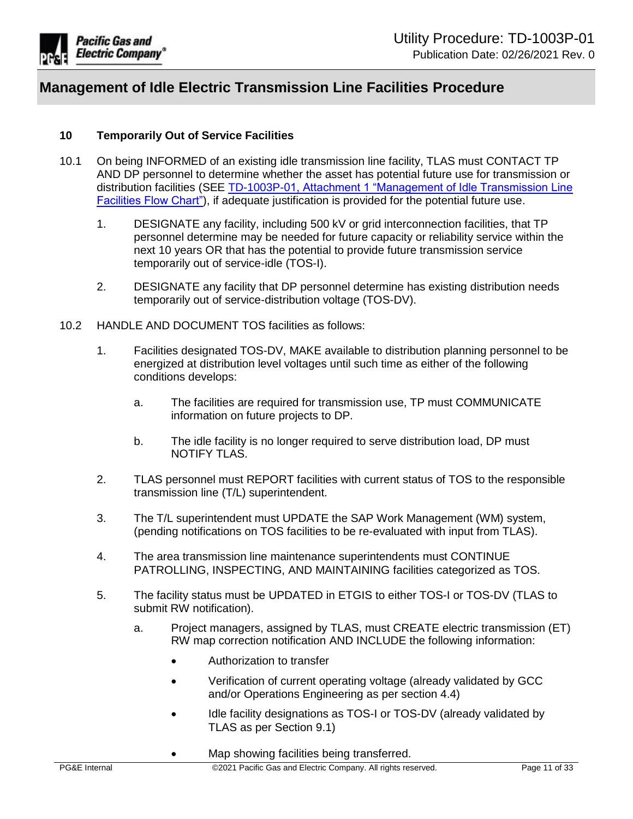

## <span id="page-10-0"></span>**10 Temporarily Out of Service Facilities**

- 10.1 On being INFORMED of an existing idle transmission line facility, TLAS must CONTACT TP AND DP personnel to determine whether the asset has potential future use for transmission or distribution facilities (SEE [TD-1003P-01, Attachment 1 "Management of Idle Transmission Line](https://ecmappwlsp01c2.comp.pge.com/TILVIEWER?chronicleId=09131aad8d9296e9&vd=true&device=false)  [Facilities Flow Chart"\)](https://ecmappwlsp01c2.comp.pge.com/TILVIEWER?chronicleId=09131aad8d9296e9&vd=true&device=false), if adequate justification is provided for the potential future use.
	- 1. DESIGNATE any facility, including 500 kV or grid interconnection facilities, that TP personnel determine may be needed for future capacity or reliability service within the next 10 years OR that has the potential to provide future transmission service temporarily out of service-idle (TOS-I).
	- 2. DESIGNATE any facility that DP personnel determine has existing distribution needs temporarily out of service-distribution voltage (TOS-DV).
- 10.2 HANDLE AND DOCUMENT TOS facilities as follows:
	- 1. Facilities designated TOS-DV, MAKE available to distribution planning personnel to be energized at distribution level voltages until such time as either of the following conditions develops:
		- a. The facilities are required for transmission use, TP must COMMUNICATE information on future projects to DP.
		- b. The idle facility is no longer required to serve distribution load, DP must NOTIFY TLAS.
	- 2. TLAS personnel must REPORT facilities with current status of TOS to the responsible transmission line (T/L) superintendent.
	- 3. The T/L superintendent must UPDATE the SAP Work Management (WM) system, (pending notifications on TOS facilities to be re-evaluated with input from TLAS).
	- 4. The area transmission line maintenance superintendents must CONTINUE PATROLLING, INSPECTING, AND MAINTAINING facilities categorized as TOS.
	- 5. The facility status must be UPDATED in ETGIS to either TOS-I or TOS-DV (TLAS to submit RW notification).
		- a. Project managers, assigned by TLAS, must CREATE electric transmission (ET) RW map correction notification AND INCLUDE the following information:
			- Authorization to transfer
			- Verification of current operating voltage (already validated by GCC and/or Operations Engineering as per section 4.4)
			- Idle facility designations as TOS-I or TOS-DV (already validated by TLAS as per Section 9.1)
			- Map showing facilities being transferred.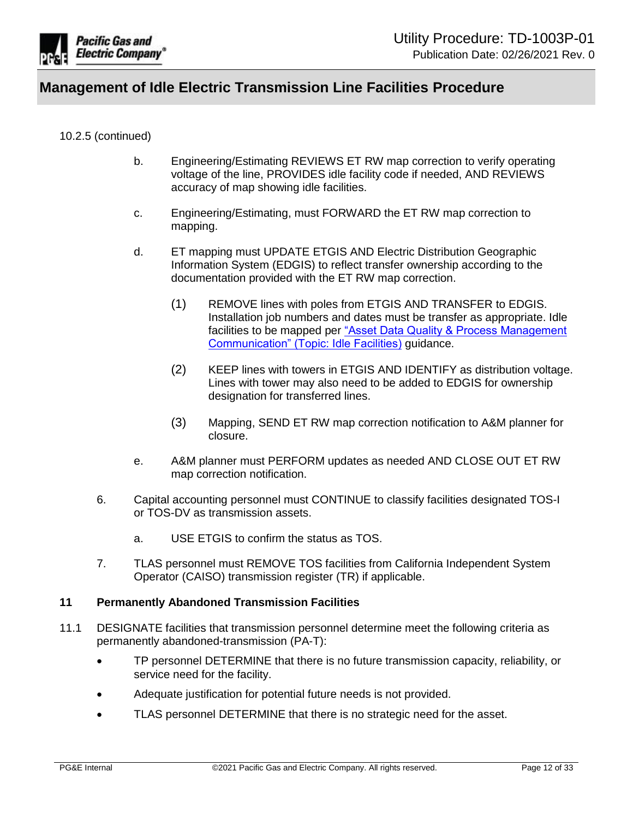

### 10.2.5 (continued)

- b. Engineering/Estimating REVIEWS ET RW map correction to verify operating voltage of the line, PROVIDES idle facility code if needed, AND REVIEWS accuracy of map showing idle facilities.
- c. Engineering/Estimating, must FORWARD the ET RW map correction to mapping.
- d. ET mapping must UPDATE ETGIS AND Electric Distribution Geographic Information System (EDGIS) to reflect transfer ownership according to the documentation provided with the ET RW map correction.
	- (1) REMOVE lines with poles from ETGIS AND TRANSFER to EDGIS. Installation job numbers and dates must be transfer as appropriate. Idle facilities to be mapped per ["Asset Data Quality & Process Management](https://urldefense.com/v3/__https:/sps.utility.pge.com/sites/ElecMappingManual2/Communication*20Library/Idle*20Facilities.msg__;JSU!!HGYKHdhaPg!DOprbKTjPytBbOumgWptJtdwNRGYJiqfiqXd_jMyp5hAFbpPEfV373Y-28EZWcuax6Y$)  [Communication" \(Topic: Idle Facilities\)](https://urldefense.com/v3/__https:/sps.utility.pge.com/sites/ElecMappingManual2/Communication*20Library/Idle*20Facilities.msg__;JSU!!HGYKHdhaPg!DOprbKTjPytBbOumgWptJtdwNRGYJiqfiqXd_jMyp5hAFbpPEfV373Y-28EZWcuax6Y$) guidance.
	- (2) KEEP lines with towers in ETGIS AND IDENTIFY as distribution voltage. Lines with tower may also need to be added to EDGIS for ownership designation for transferred lines.
	- (3) Mapping, SEND ET RW map correction notification to A&M planner for closure.
- e. A&M planner must PERFORM updates as needed AND CLOSE OUT ET RW map correction notification.
- 6. Capital accounting personnel must CONTINUE to classify facilities designated TOS-I or TOS-DV as transmission assets.
	- a. USE ETGIS to confirm the status as TOS.
- 7. TLAS personnel must REMOVE TOS facilities from California Independent System Operator (CAISO) transmission register (TR) if applicable.

#### <span id="page-11-0"></span>**11 Permanently Abandoned Transmission Facilities**

- 11.1 DESIGNATE facilities that transmission personnel determine meet the following criteria as permanently abandoned-transmission (PA-T):
	- TP personnel DETERMINE that there is no future transmission capacity, reliability, or service need for the facility.
	- Adequate justification for potential future needs is not provided.
	- TLAS personnel DETERMINE that there is no strategic need for the asset.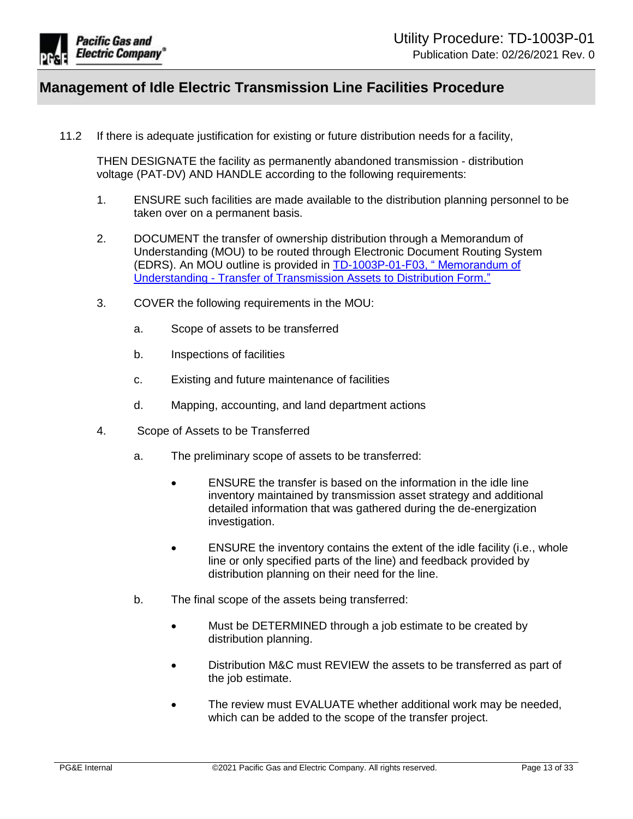

11.2 If there is adequate justification for existing or future distribution needs for a facility,

THEN DESIGNATE the facility as permanently abandoned transmission - distribution voltage (PAT-DV) AND HANDLE according to the following requirements:

- 1. ENSURE such facilities are made available to the distribution planning personnel to be taken over on a permanent basis.
- 2. DOCUMENT the transfer of ownership distribution through a Memorandum of Understanding (MOU) to be routed through Electronic Document Routing System (EDRS). An MOU outline is provided in [TD-1003P-01-F03, " Memorandum of](https://ecmappwlsp01c2.comp.pge.com/TILVIEWER?chronicleId=09131aad8d8f2a75&vd=true&device=false)  Understanding - [Transfer of Transmission Assets to Distribution Form."](https://ecmappwlsp01c2.comp.pge.com/TILVIEWER?chronicleId=09131aad8d8f2a75&vd=true&device=false)
- 3. COVER the following requirements in the MOU:
	- a. Scope of assets to be transferred
	- b. Inspections of facilities
	- c. Existing and future maintenance of facilities
	- d. Mapping, accounting, and land department actions
- 4. Scope of Assets to be Transferred
	- a. The preliminary scope of assets to be transferred:
		- ENSURE the transfer is based on the information in the idle line inventory maintained by transmission asset strategy and additional detailed information that was gathered during the de-energization investigation.
		- ENSURE the inventory contains the extent of the idle facility (i.e., whole line or only specified parts of the line) and feedback provided by distribution planning on their need for the line.
	- b. The final scope of the assets being transferred:
		- Must be DETERMINED through a job estimate to be created by distribution planning.
		- Distribution M&C must REVIEW the assets to be transferred as part of the job estimate.
		- The review must EVALUATE whether additional work may be needed, which can be added to the scope of the transfer project.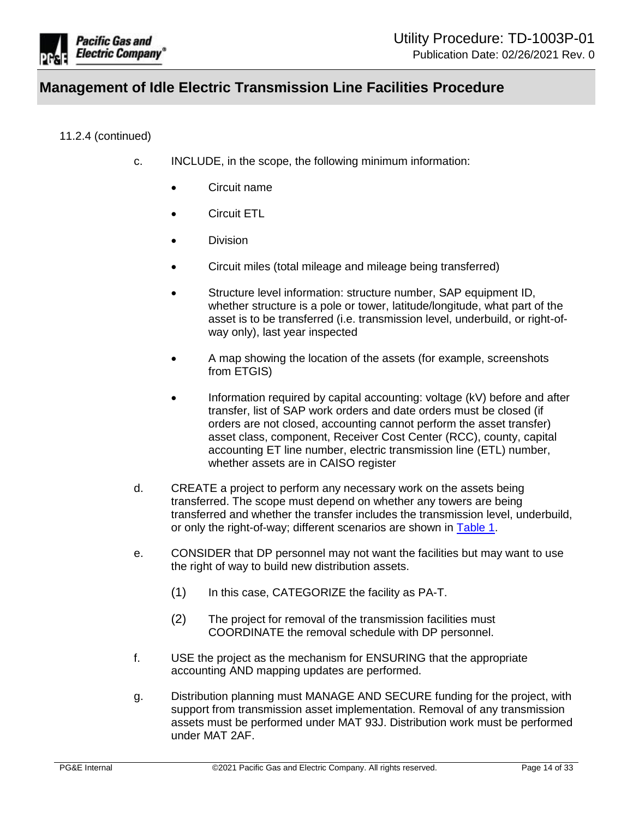

### 11.2.4 (continued)

- c. INCLUDE, in the scope, the following minimum information:
	- Circuit name
	- Circuit ETL
	- Division
	- Circuit miles (total mileage and mileage being transferred)
	- Structure level information: structure number, SAP equipment ID, whether structure is a pole or tower, latitude/longitude, what part of the asset is to be transferred (i.e. transmission level, underbuild, or right-ofway only), last year inspected
	- A map showing the location of the assets (for example, screenshots from ETGIS)
	- Information required by capital accounting: voltage (kV) before and after transfer, list of SAP work orders and date orders must be closed (if orders are not closed, accounting cannot perform the asset transfer) asset class, component, Receiver Cost Center (RCC), county, capital accounting ET line number, electric transmission line (ETL) number, whether assets are in CAISO register
- d. CREATE a project to perform any necessary work on the assets being transferred. The scope must depend on whether any towers are being transferred and whether the transfer includes the transmission level, underbuild, or only the right-of-way; different scenarios are shown in [Table 1.](#page-14-0)
- e. CONSIDER that DP personnel may not want the facilities but may want to use the right of way to build new distribution assets.
	- (1) In this case, CATEGORIZE the facility as PA-T.
	- (2) The project for removal of the transmission facilities must COORDINATE the removal schedule with DP personnel.
- f. USE the project as the mechanism for ENSURING that the appropriate accounting AND mapping updates are performed.
- g. Distribution planning must MANAGE AND SECURE funding for the project, with support from transmission asset implementation. Removal of any transmission assets must be performed under MAT 93J. Distribution work must be performed under MAT 2AF.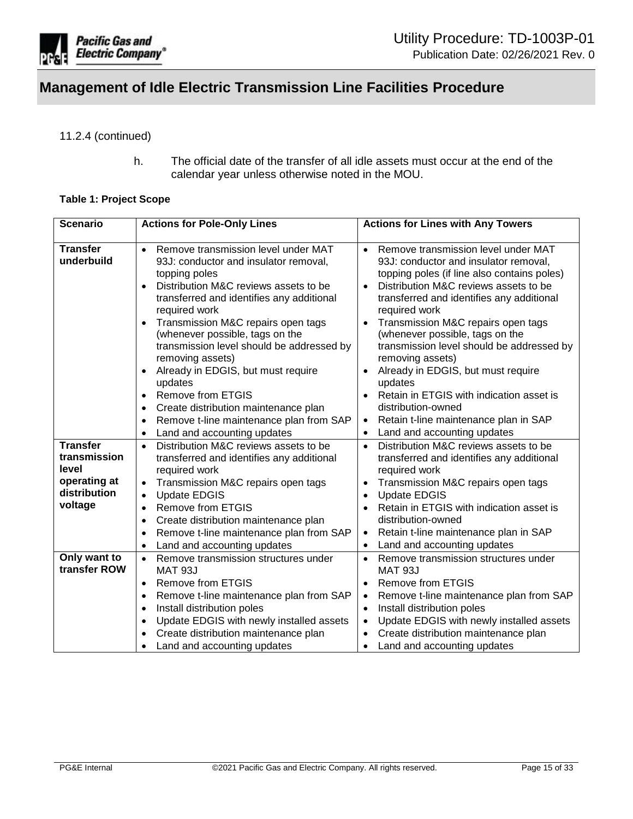

### 11.2.4 (continued)

h. The official date of the transfer of all idle assets must occur at the end of the calendar year unless otherwise noted in the MOU.

#### <span id="page-14-0"></span>**Table 1: Project Scope**

| <b>Scenario</b>                                                                     | <b>Actions for Pole-Only Lines</b>                                                                                                                                                                                                                                                                                                                                                                                                                                                                                                                                                                | <b>Actions for Lines with Any Towers</b>                                                                                                                                                                                                                                                                                                                                                                                                                                                                                                                                                                                    |
|-------------------------------------------------------------------------------------|---------------------------------------------------------------------------------------------------------------------------------------------------------------------------------------------------------------------------------------------------------------------------------------------------------------------------------------------------------------------------------------------------------------------------------------------------------------------------------------------------------------------------------------------------------------------------------------------------|-----------------------------------------------------------------------------------------------------------------------------------------------------------------------------------------------------------------------------------------------------------------------------------------------------------------------------------------------------------------------------------------------------------------------------------------------------------------------------------------------------------------------------------------------------------------------------------------------------------------------------|
| <b>Transfer</b><br>underbuild                                                       | Remove transmission level under MAT<br>$\bullet$<br>93J: conductor and insulator removal,<br>topping poles<br>Distribution M&C reviews assets to be<br>transferred and identifies any additional<br>required work<br>Transmission M&C repairs open tags<br>(whenever possible, tags on the<br>transmission level should be addressed by<br>removing assets)<br>Already in EDGIS, but must require<br>$\bullet$<br>updates<br><b>Remove from ETGIS</b><br>$\bullet$<br>Create distribution maintenance plan<br>$\bullet$<br>Remove t-line maintenance plan from SAP<br>Land and accounting updates | Remove transmission level under MAT<br>$\bullet$<br>93J: conductor and insulator removal,<br>topping poles (if line also contains poles)<br>Distribution M&C reviews assets to be<br>transferred and identifies any additional<br>required work<br>Transmission M&C repairs open tags<br>(whenever possible, tags on the<br>transmission level should be addressed by<br>removing assets)<br>Already in EDGIS, but must require<br>$\bullet$<br>updates<br>Retain in ETGIS with indication asset is<br>distribution-owned<br>Retain t-line maintenance plan in SAP<br>$\bullet$<br>Land and accounting updates<br>$\bullet$ |
| <b>Transfer</b><br>transmission<br>level<br>operating at<br>distribution<br>voltage | Distribution M&C reviews assets to be<br>$\bullet$<br>transferred and identifies any additional<br>required work<br>Transmission M&C repairs open tags<br>$\bullet$<br><b>Update EDGIS</b><br>$\bullet$<br><b>Remove from ETGIS</b><br>$\bullet$<br>Create distribution maintenance plan<br>٠<br>Remove t-line maintenance plan from SAP<br>$\bullet$<br>Land and accounting updates<br>$\bullet$                                                                                                                                                                                                 | Distribution M&C reviews assets to be<br>$\bullet$<br>transferred and identifies any additional<br>required work<br>Transmission M&C repairs open tags<br>$\bullet$<br><b>Update EDGIS</b><br>$\bullet$<br>Retain in ETGIS with indication asset is<br>distribution-owned<br>Retain t-line maintenance plan in SAP<br>$\bullet$<br>Land and accounting updates<br>$\bullet$                                                                                                                                                                                                                                                 |
| Only want to<br>transfer ROW                                                        | Remove transmission structures under<br>$\bullet$<br><b>MAT 93J</b><br><b>Remove from ETGIS</b><br>$\bullet$<br>Remove t-line maintenance plan from SAP<br>$\bullet$<br>Install distribution poles<br>$\bullet$<br>Update EDGIS with newly installed assets<br>$\bullet$<br>Create distribution maintenance plan<br>Land and accounting updates                                                                                                                                                                                                                                                   | Remove transmission structures under<br>$\bullet$<br><b>MAT 93J</b><br><b>Remove from ETGIS</b><br>Remove t-line maintenance plan from SAP<br>٠<br>Install distribution poles<br>$\bullet$<br>Update EDGIS with newly installed assets<br>$\bullet$<br>Create distribution maintenance plan<br>$\bullet$<br>Land and accounting updates<br>$\bullet$                                                                                                                                                                                                                                                                        |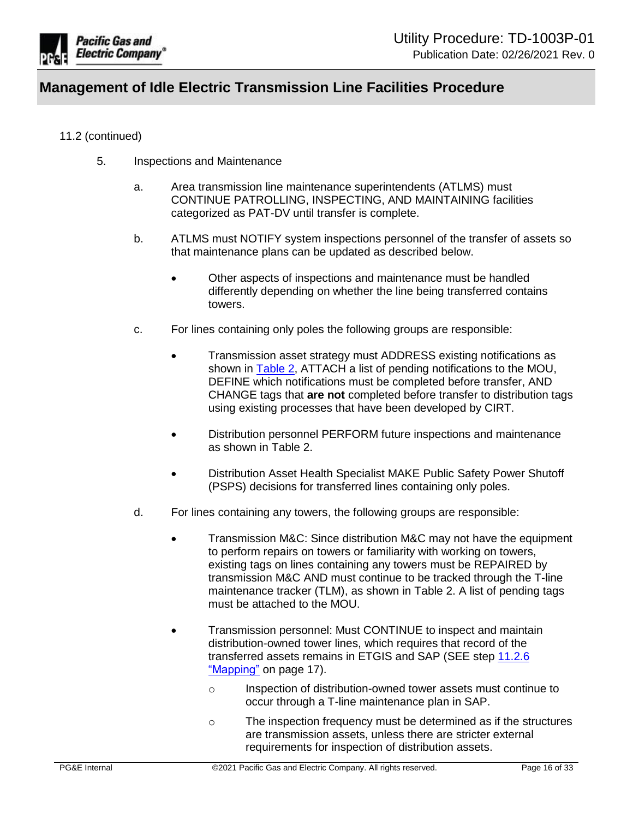

### 11.2 (continued)

- 5. Inspections and Maintenance
	- a. Area transmission line maintenance superintendents (ATLMS) must CONTINUE PATROLLING, INSPECTING, AND MAINTAINING facilities categorized as PAT-DV until transfer is complete.
	- b. ATLMS must NOTIFY system inspections personnel of the transfer of assets so that maintenance plans can be updated as described below.
		- Other aspects of inspections and maintenance must be handled differently depending on whether the line being transferred contains towers.
	- c. For lines containing only poles the following groups are responsible:
		- **•** Transmission asset strategy must ADDRESS existing notifications as shown in **Table 2**, ATTACH a list of pending notifications to the MOU, DEFINE which notifications must be completed before transfer, AND CHANGE tags that **are not** completed before transfer to distribution tags using existing processes that have been developed by CIRT.
		- Distribution personnel PERFORM future inspections and maintenance as shown in [Table 2.](#page-16-0)
		- Distribution Asset Health Specialist MAKE Public Safety Power Shutoff (PSPS) decisions for transferred lines containing only poles.
	- d. For lines containing any towers, the following groups are responsible:
		- Transmission M&C: Since distribution M&C may not have the equipment to perform repairs on towers or familiarity with working on towers, existing tags on lines containing any towers must be REPAIRED by transmission M&C AND must continue to be tracked through the T-line maintenance tracker (TLM), as shown in [Table 2.](#page-16-0) A list of pending tags must be attached to the MOU.
		- Transmission personnel: Must CONTINUE to inspect and maintain distribution-owned tower lines, which requires that record of the transferred assets remains in ETGIS and SAP (SEE step [11.2.6](#page-16-1)  ["Mapping"](#page-16-1) on page 17).
			- o Inspection of distribution-owned tower assets must continue to occur through a T-line maintenance plan in SAP.
			- o The inspection frequency must be determined as if the structures are transmission assets, unless there are stricter external requirements for inspection of distribution assets.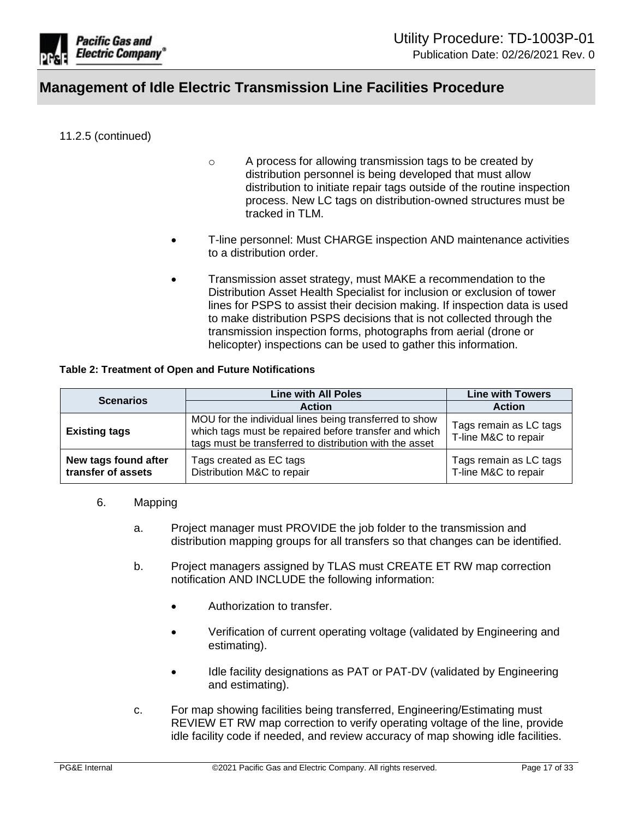

### 11.2.5 (continued)

- o A process for allowing transmission tags to be created by distribution personnel is being developed that must allow distribution to initiate repair tags outside of the routine inspection process. New LC tags on distribution-owned structures must be tracked in TLM.
- T-line personnel: Must CHARGE inspection AND maintenance activities to a distribution order.
- Transmission asset strategy, must MAKE a recommendation to the Distribution Asset Health Specialist for inclusion or exclusion of tower lines for PSPS to assist their decision making. If inspection data is used to make distribution PSPS decisions that is not collected through the transmission inspection forms, photographs from aerial (drone or helicopter) inspections can be used to gather this information.

#### <span id="page-16-0"></span>**Table 2: Treatment of Open and Future Notifications**

| <b>Scenarios</b>                           | <b>Line with All Poles</b>                                                                                                                                                 | <b>Line with Towers</b>                        |
|--------------------------------------------|----------------------------------------------------------------------------------------------------------------------------------------------------------------------------|------------------------------------------------|
|                                            | <b>Action</b>                                                                                                                                                              | <b>Action</b>                                  |
| <b>Existing tags</b>                       | MOU for the individual lines being transferred to show<br>which tags must be repaired before transfer and which<br>tags must be transferred to distribution with the asset | Tags remain as LC tags<br>T-line M&C to repair |
| New tags found after<br>transfer of assets | Tags created as EC tags<br>Distribution M&C to repair                                                                                                                      | Tags remain as LC tags<br>T-line M&C to repair |

#### <span id="page-16-1"></span>6. Mapping

- a. Project manager must PROVIDE the job folder to the transmission and distribution mapping groups for all transfers so that changes can be identified.
- b. Project managers assigned by TLAS must CREATE ET RW map correction notification AND INCLUDE the following information:
	- Authorization to transfer.
	- Verification of current operating voltage (validated by Engineering and estimating).
	- Idle facility designations as PAT or PAT-DV (validated by Engineering and estimating).
- c. For map showing facilities being transferred, Engineering/Estimating must REVIEW ET RW map correction to verify operating voltage of the line, provide idle facility code if needed, and review accuracy of map showing idle facilities.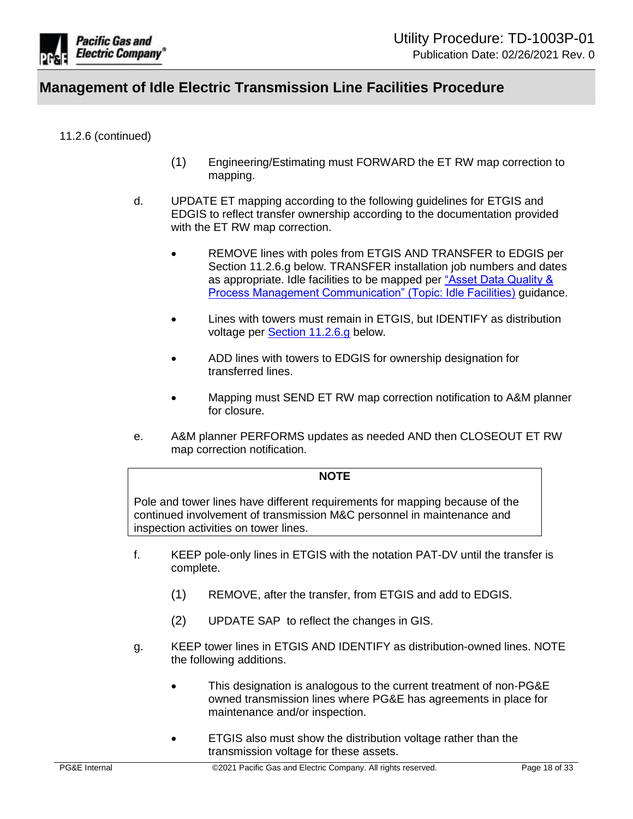

11.2.6 (continued)

- (1) Engineering/Estimating must FORWARD the ET RW map correction to mapping.
- d. UPDATE ET mapping according to the following guidelines for ETGIS and EDGIS to reflect transfer ownership according to the documentation provided with the ET RW map correction.
	- REMOVE lines with poles from ETGIS AND TRANSFER to EDGIS per Section 11.2.6.g below. TRANSFER installation job numbers and dates as appropriate. Idle facilities to be mapped per "Asset Data Quality & [Process Management Communication" \(Topic: Idle Facilities\)](https://urldefense.com/v3/__https:/sps.utility.pge.com/sites/ElecMappingManual2/Communication*20Library/Idle*20Facilities.msg__;JSU!!HGYKHdhaPg!DOprbKTjPytBbOumgWptJtdwNRGYJiqfiqXd_jMyp5hAFbpPEfV373Y-28EZWcuax6Y$) guidance.
	- Lines with towers must remain in ETGIS, but IDENTIFY as distribution voltage per [Section 11.2.6.g](#page-17-0) below.
	- ADD lines with towers to EDGIS for ownership designation for transferred lines.
	- Mapping must SEND ET RW map correction notification to A&M planner for closure.
- e. A&M planner PERFORMS updates as needed AND then CLOSEOUT ET RW map correction notification.

#### **NOTE**

Pole and tower lines have different requirements for mapping because of the continued involvement of transmission M&C personnel in maintenance and inspection activities on tower lines.

- f. KEEP pole-only lines in ETGIS with the notation PAT-DV until the transfer is complete.
	- (1) REMOVE, after the transfer, from ETGIS and add to EDGIS.
	- (2) UPDATE SAP to reflect the changes in GIS.
- <span id="page-17-0"></span>g. KEEP tower lines in ETGIS AND IDENTIFY as distribution-owned lines. NOTE the following additions.
	- This designation is analogous to the current treatment of non-PG&E owned transmission lines where PG&E has agreements in place for maintenance and/or inspection.
	- **ETGIS** also must show the distribution voltage rather than the transmission voltage for these assets.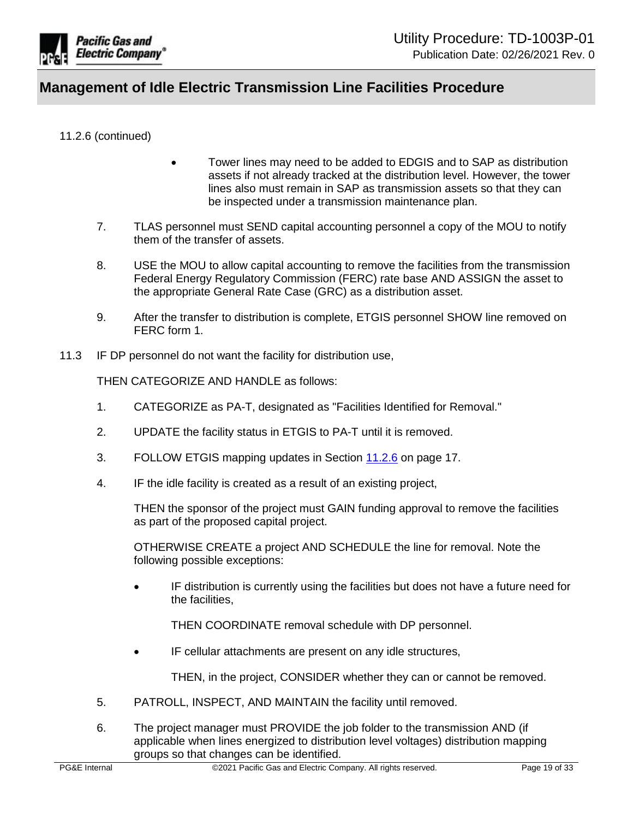

11.2.6 (continued)

- Tower lines may need to be added to EDGIS and to SAP as distribution assets if not already tracked at the distribution level. However, the tower lines also must remain in SAP as transmission assets so that they can be inspected under a transmission maintenance plan.
- 7. TLAS personnel must SEND capital accounting personnel a copy of the MOU to notify them of the transfer of assets.
- 8. USE the MOU to allow capital accounting to remove the facilities from the transmission Federal Energy Regulatory Commission (FERC) rate base AND ASSIGN the asset to the appropriate General Rate Case (GRC) as a distribution asset.
- 9. After the transfer to distribution is complete, ETGIS personnel SHOW line removed on FERC form 1.
- 11.3 IF DP personnel do not want the facility for distribution use,

THEN CATEGORIZE AND HANDLE as follows:

- 1. CATEGORIZE as PA-T, designated as "Facilities Identified for Removal."
- 2. UPDATE the facility status in ETGIS to PA-T until it is removed.
- 3. FOLLOW ETGIS mapping updates in Section [11.2.6](#page-16-1) on page 17.
- 4. IF the idle facility is created as a result of an existing project,

THEN the sponsor of the project must GAIN funding approval to remove the facilities as part of the proposed capital project.

OTHERWISE CREATE a project AND SCHEDULE the line for removal. Note the following possible exceptions:

 IF distribution is currently using the facilities but does not have a future need for the facilities,

THEN COORDINATE removal schedule with DP personnel.

IF cellular attachments are present on any idle structures,

THEN, in the project, CONSIDER whether they can or cannot be removed.

- 5. PATROLL, INSPECT, AND MAINTAIN the facility until removed.
- 6. The project manager must PROVIDE the job folder to the transmission AND (if applicable when lines energized to distribution level voltages) distribution mapping groups so that changes can be identified.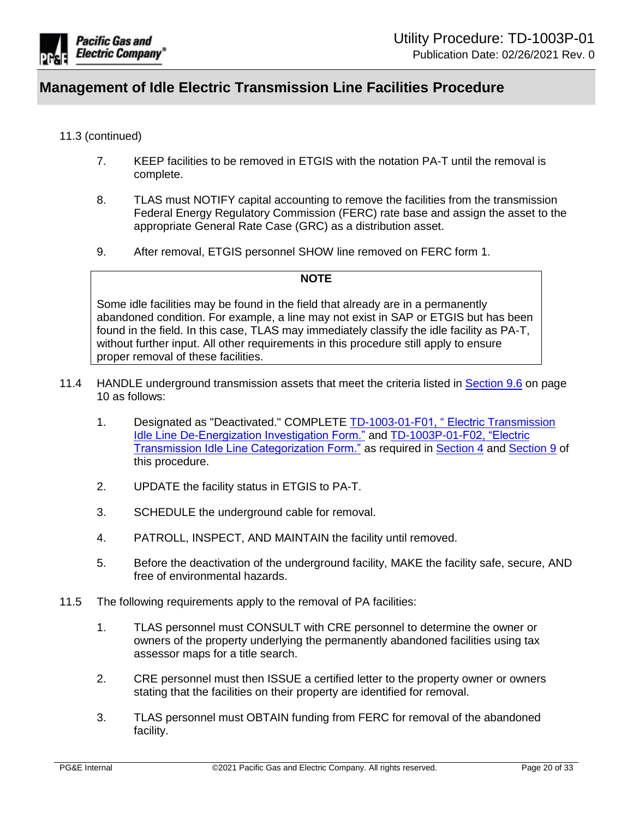

### 11.3 (continued)

- 7. KEEP facilities to be removed in ETGIS with the notation PA-T until the removal is complete.
- 8. TLAS must NOTIFY capital accounting to remove the facilities from the transmission Federal Energy Regulatory Commission (FERC) rate base and assign the asset to the appropriate General Rate Case (GRC) as a distribution asset.
- 9. After removal, ETGIS personnel SHOW line removed on FERC form 1.

### **NOTE**

Some idle facilities may be found in the field that already are in a permanently abandoned condition. For example, a line may not exist in SAP or ETGIS but has been found in the field. In this case, TLAS may immediately classify the idle facility as PA-T, without further input. All other requirements in this procedure still apply to ensure proper removal of these facilities.

- 11.4 HANDLE underground transmission assets that meet the criteria listed in [Section 9.6](#page-9-0) on page 10 as follows:
	- 1. Designated as "Deactivated." COMPLETE [TD-1003-01-F01, " Electric Transmission](https://ecmappwlsp01c2.comp.pge.com/TILVIEWER?chronicleId=09131aad8d8f2a73&vd=true&device=false)  Idle Line [De-Energization Investigation Form."](https://ecmappwlsp01c2.comp.pge.com/TILVIEWER?chronicleId=09131aad8d8f2a73&vd=true&device=false) and [TD-1003P-01-F02, "Electric](https://ecmappwlsp01c2.comp.pge.com/TILVIEWER?chronicleId=09131aad8d8f2a74&vd=true&device=false)  [Transmission Idle Line Categorization Form."](https://ecmappwlsp01c2.comp.pge.com/TILVIEWER?chronicleId=09131aad8d8f2a74&vd=true&device=false) as required in [Section 4](#page-4-1) and [Section 9](#page-8-2) of this procedure.
	- 2. UPDATE the facility status in ETGIS to PA-T.
	- 3. SCHEDULE the underground cable for removal.
	- 4. PATROLL, INSPECT, AND MAINTAIN the facility until removed.
	- 5. Before the deactivation of the underground facility, MAKE the facility safe, secure, AND free of environmental hazards.
- 11.5 The following requirements apply to the removal of PA facilities:
	- 1. TLAS personnel must CONSULT with CRE personnel to determine the owner or owners of the property underlying the permanently abandoned facilities using tax assessor maps for a title search.
	- 2. CRE personnel must then ISSUE a certified letter to the property owner or owners stating that the facilities on their property are identified for removal.
	- 3. TLAS personnel must OBTAIN funding from FERC for removal of the abandoned facility.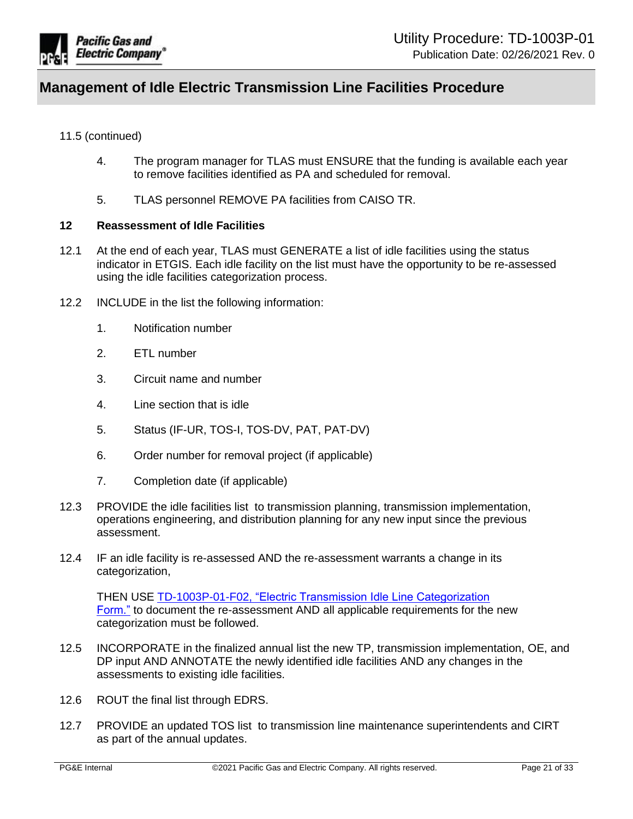

### 11.5 (continued)

- 4. The program manager for TLAS must ENSURE that the funding is available each year to remove facilities identified as PA and scheduled for removal.
- 5. TLAS personnel REMOVE PA facilities from CAISO TR.

#### <span id="page-20-0"></span>**12 Reassessment of Idle Facilities**

- 12.1 At the end of each year, TLAS must GENERATE a list of idle facilities using the status indicator in ETGIS. Each idle facility on the list must have the opportunity to be re-assessed using the idle facilities categorization process.
- 12.2 INCLUDE in the list the following information:
	- 1. Notification number
	- 2. ETL number
	- 3. Circuit name and number
	- 4. Line section that is idle
	- 5. Status (IF-UR, TOS-I, TOS-DV, PAT, PAT-DV)
	- 6. Order number for removal project (if applicable)
	- 7. Completion date (if applicable)
- 12.3 PROVIDE the idle facilities list to transmission planning, transmission implementation, operations engineering, and distribution planning for any new input since the previous assessment.
- 12.4 IF an idle facility is re-assessed AND the re-assessment warrants a change in its categorization,

THEN USE [TD-1003P-01-F02, "Electric Transmission Idle Line Categorization](https://ecmappwlsp01c2.comp.pge.com/TILVIEWER?chronicleId=09131aad8d8f2a74&vd=true&device=false)  [Form."](https://ecmappwlsp01c2.comp.pge.com/TILVIEWER?chronicleId=09131aad8d8f2a74&vd=true&device=false) to document the re-assessment AND all applicable requirements for the new categorization must be followed.

- 12.5 INCORPORATE in the finalized annual list the new TP, transmission implementation, OE, and DP input AND ANNOTATE the newly identified idle facilities AND any changes in the assessments to existing idle facilities.
- 12.6 ROUT the final list through EDRS.
- 12.7 PROVIDE an updated TOS list to transmission line maintenance superintendents and CIRT as part of the annual updates.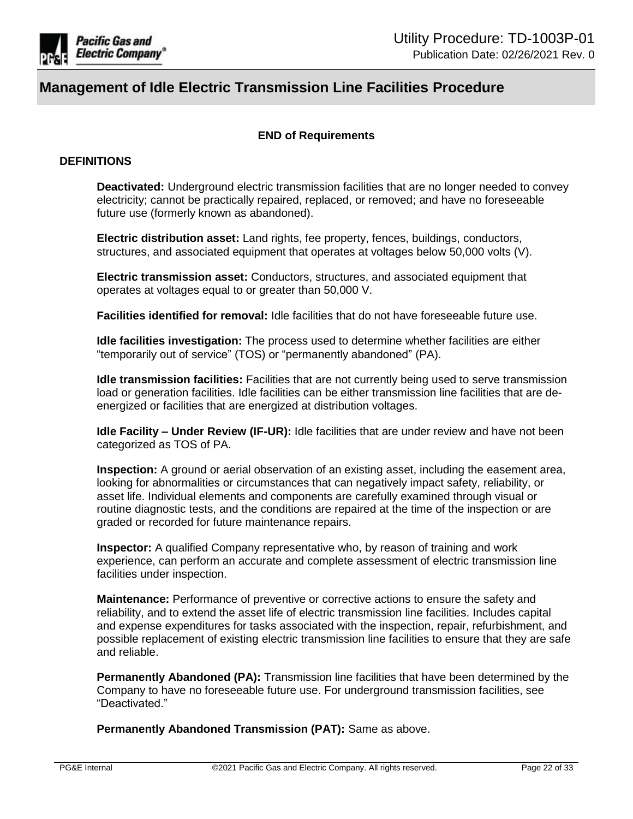

## **END of Requirements**

### **DEFINITIONS**

**Deactivated:** Underground electric transmission facilities that are no longer needed to convey electricity; cannot be practically repaired, replaced, or removed; and have no foreseeable future use (formerly known as abandoned).

**Electric distribution asset:** Land rights, fee property, fences, buildings, conductors, structures, and associated equipment that operates at voltages below 50,000 volts (V).

**Electric transmission asset:** Conductors, structures, and associated equipment that operates at voltages equal to or greater than 50,000 V.

**Facilities identified for removal:** Idle facilities that do not have foreseeable future use.

**Idle facilities investigation:** The process used to determine whether facilities are either "temporarily out of service" (TOS) or "permanently abandoned" (PA).

**Idle transmission facilities:** Facilities that are not currently being used to serve transmission load or generation facilities. Idle facilities can be either transmission line facilities that are deenergized or facilities that are energized at distribution voltages.

**Idle Facility – Under Review (IF-UR):** Idle facilities that are under review and have not been categorized as TOS of PA.

**Inspection:** A ground or aerial observation of an existing asset, including the easement area, looking for abnormalities or circumstances that can negatively impact safety, reliability, or asset life. Individual elements and components are carefully examined through visual or routine diagnostic tests, and the conditions are repaired at the time of the inspection or are graded or recorded for future maintenance repairs.

**Inspector:** A qualified Company representative who, by reason of training and work experience, can perform an accurate and complete assessment of electric transmission line facilities under inspection.

**Maintenance:** Performance of preventive or corrective actions to ensure the safety and reliability, and to extend the asset life of electric transmission line facilities. Includes capital and expense expenditures for tasks associated with the inspection, repair, refurbishment, and possible replacement of existing electric transmission line facilities to ensure that they are safe and reliable.

**Permanently Abandoned (PA):** Transmission line facilities that have been determined by the Company to have no foreseeable future use. For underground transmission facilities, see "Deactivated."

**Permanently Abandoned Transmission (PAT):** Same as above.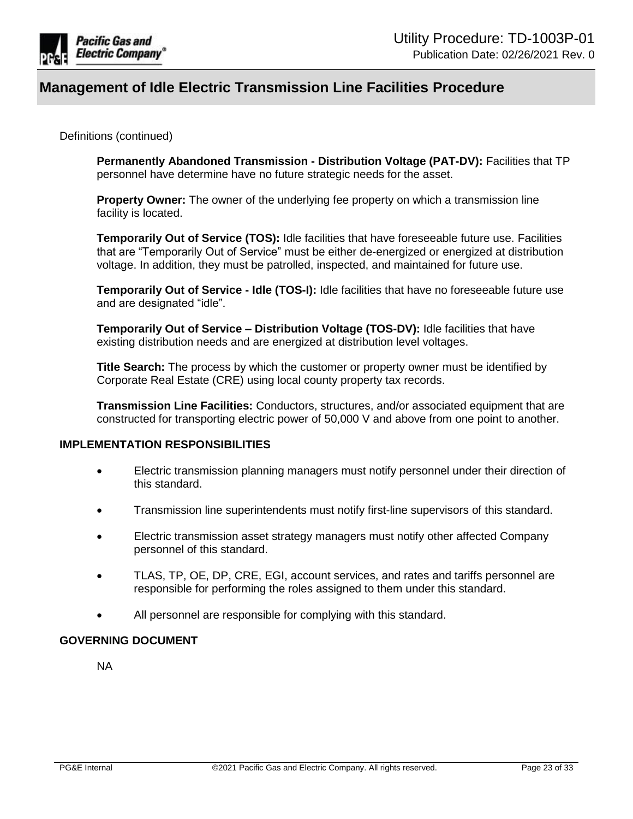

Definitions (continued)

**Permanently Abandoned Transmission - Distribution Voltage (PAT-DV):** Facilities that TP personnel have determine have no future strategic needs for the asset.

**Property Owner:** The owner of the underlying fee property on which a transmission line facility is located.

**Temporarily Out of Service (TOS):** Idle facilities that have foreseeable future use. Facilities that are "Temporarily Out of Service" must be either de-energized or energized at distribution voltage. In addition, they must be patrolled, inspected, and maintained for future use.

**Temporarily Out of Service - Idle (TOS-I):** Idle facilities that have no foreseeable future use and are designated "idle".

**Temporarily Out of Service – Distribution Voltage (TOS-DV):** Idle facilities that have existing distribution needs and are energized at distribution level voltages.

**Title Search:** The process by which the customer or property owner must be identified by Corporate Real Estate (CRE) using local county property tax records.

**Transmission Line Facilities:** Conductors, structures, and/or associated equipment that are constructed for transporting electric power of 50,000 V and above from one point to another.

## **IMPLEMENTATION RESPONSIBILITIES**

- Electric transmission planning managers must notify personnel under their direction of this standard.
- Transmission line superintendents must notify first-line supervisors of this standard.
- Electric transmission asset strategy managers must notify other affected Company personnel of this standard.
- TLAS, TP, OE, DP, CRE, EGI, account services, and rates and tariffs personnel are responsible for performing the roles assigned to them under this standard.
- All personnel are responsible for complying with this standard.

#### **GOVERNING DOCUMENT**

NA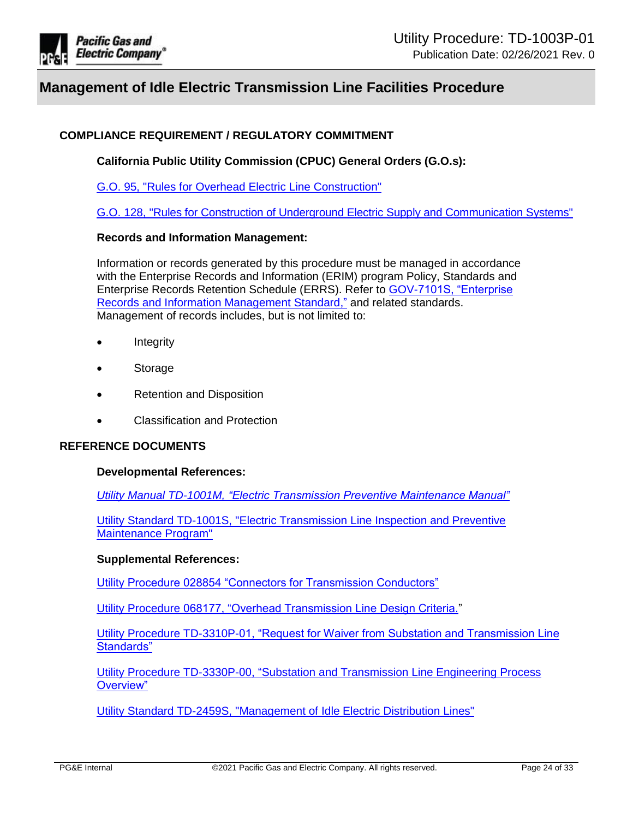

## **COMPLIANCE REQUIREMENT / REGULATORY COMMITMENT**

**California Public Utility Commission (CPUC) General Orders (G.O.s):**

[G.O. 95, "Rules for Overhead Electric Line Construction"](http://docs.cpuc.ca.gov/published/Graphics/13352.PDF)

[G.O. 128, "Rules for Construction of Underground Electric Supply and Communication Systems"](http://docs.cpuc.ca.gov/published/Graphics/587.PDF)

#### **Records and Information Management:**

Information or records generated by this procedure must be managed in accordance with the Enterprise Records and Information (ERIM) program Policy, Standards and Enterprise Records Retention Schedule (ERRS). Refer to [GOV-7101S, "Enterprise](https://edrm.comp.pge.com/D2/servlet/Download?auth=basic&event_name=open&version=CURRENT&id=09131aad892834e3&format=pdf&_docbase=pge_ecm)  [Records and Information Management Standard,"](https://edrm.comp.pge.com/D2/servlet/Download?auth=basic&event_name=open&version=CURRENT&id=09131aad892834e3&format=pdf&_docbase=pge_ecm) and related standards. Management of records includes, but is not limited to:

- Integrity
- Storage
- Retention and Disposition
- Classification and Protection

#### **REFERENCE DOCUMENTS**

#### **Developmental References:**

*Utility Manual TD-1001M, ["Electric Transmission Preventive Maintenance Manual"](https://ecmappwlsp01c2.comp.pge.com/TILVIEWER?chronicleId=09131aad80e119b2&vd=true&device=false)*

[Utility Standard TD-1001S, "Electric Transmission Line Inspection and Preventive](http://www/techlib/default.asp?body=manuals/uo_standards/s1001.htm)  [Maintenance Program"](http://www/techlib/default.asp?body=manuals/uo_standards/s1001.htm)

#### **Supplemental References:**

[Utility Procedure 028854 "Connectors for Transmission Conductors"](https://ecmappwlsp01c2.comp.pge.com/TILVIEWER?chronicleId=09131aad80dfa0ea&vd=false&device=false)

Utility Procedure [068177, "Overhead Transmission Line Design Criteria."](https://ecmappwlsp01c2.comp.pge.com/TILVIEWER?chronicleId=09131aad80e08737&vd=false&device=false)

[Utility Procedure TD-3310P-01, "Request for Waiver from Substation and Transmission Line](https://ecmappwlsp01c2.comp.pge.com/TILVIEWER?chronicleId=09131aad80e05d70&vd=true&device=false)  [Standards"](https://ecmappwlsp01c2.comp.pge.com/TILVIEWER?chronicleId=09131aad80e05d70&vd=true&device=false)

[Utility Procedure TD-3330P-00, "Substation and Transmission Line Engineering Process](https://ecmappwlsp01c2.comp.pge.com/TILVIEWER?chronicleId=09131aad80e00474&vd=true&device=false)  [Overview"](https://ecmappwlsp01c2.comp.pge.com/TILVIEWER?chronicleId=09131aad80e00474&vd=true&device=false)

[Utility Standard TD-2459S, "Management of Idle Electric Distribution Lines"](http://www/techlib/default.asp?body=manuals/uo_standards/s2459.htm)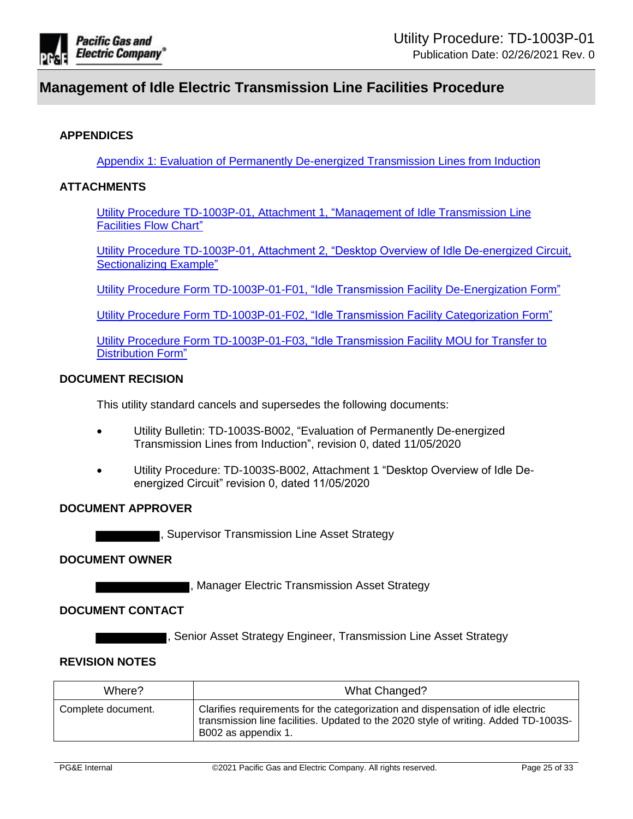

## **APPENDICES**

[Appendix 1: Evaluation of Permanently De-energized Transmission Lines from Induction](#page-25-1)

### **ATTACHMENTS**

[Utility Procedure TD-1003P-01, Attachment 1, "Management of Idle Transmission Line](https://ecmappwlsp01c2.comp.pge.com/TILVIEWER?chronicleId=09131aad8d9296e9&vd=true&device=false)  [Facilities Flow Chart"](https://ecmappwlsp01c2.comp.pge.com/TILVIEWER?chronicleId=09131aad8d9296e9&vd=true&device=false)

[Utility Procedure TD-1003P-01, Attachment 2, "Desktop Overview of Idle De-energized Circuit,](https://ecmappwlsp01c2.comp.pge.com/TILVIEWER?chronicleId=09131aad8d9296ea&vd=true&device=false)  [Sectionalizing Example"](https://ecmappwlsp01c2.comp.pge.com/TILVIEWER?chronicleId=09131aad8d9296ea&vd=true&device=false)

[Utility Procedure Form TD-1003P-01-F01, "Idle Transmission Facility De-Energization Form"](https://ecmappwlsp01c2.comp.pge.com/TILVIEWER?chronicleId=09131aad8d8f2a73&vd=true&device=false)

[Utility Procedure Form TD-1003P-01-F02, "Idle Transmission Facility Categorization Form"](https://ecmappwlsp01c2.comp.pge.com/TILVIEWER?chronicleId=09131aad8d8f2a74&vd=true&device=false)

[Utility Procedure Form TD-1003P-01-F03, "Idle Transmission Facility MOU for Transfer to](https://ecmappwlsp01c2.comp.pge.com/TILVIEWER?chronicleId=09131aad8d8f2a75&vd=true&device=false)  [Distribution Form"](https://ecmappwlsp01c2.comp.pge.com/TILVIEWER?chronicleId=09131aad8d8f2a75&vd=true&device=false)

#### **DOCUMENT RECISION**

This utility standard cancels and supersedes the following documents:

- Utility Bulletin: TD-1003S-B002, "Evaluation of Permanently De-energized Transmission Lines from Induction", revision 0, dated 11/05/2020
- Utility Procedure: TD-1003S-B002, Attachment 1 "Desktop Overview of Idle Deenergized Circuit" revision 0, dated 11/05/2020

#### **DOCUMENT APPROVER**

, Supervisor Transmission Line Asset Strategy

#### **DOCUMENT OWNER**

**The Electric Transmission Asset Strategy** 

### **DOCUMENT CONTACT**

, Senior Asset Strategy Engineer, Transmission Line Asset Strategy

## **REVISION NOTES**

| Where?             | What Changed?                                                                                                                                                                                 |
|--------------------|-----------------------------------------------------------------------------------------------------------------------------------------------------------------------------------------------|
| Complete document. | Clarifies requirements for the categorization and dispensation of idle electric<br>transmission line facilities. Updated to the 2020 style of writing. Added TD-1003S-<br>B002 as appendix 1. |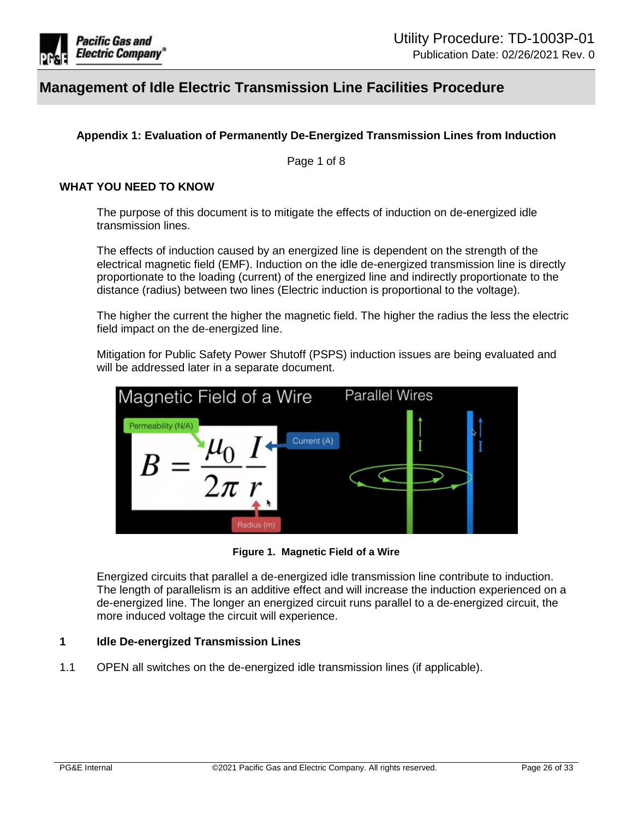

## <span id="page-25-0"></span>**Appendix 1: Evaluation of Permanently De-Energized Transmission Lines from Induction**

Page 1 of 8

#### <span id="page-25-1"></span>**WHAT YOU NEED TO KNOW**

The purpose of this document is to mitigate the effects of induction on de-energized idle transmission lines.

The effects of induction caused by an energized line is dependent on the strength of the electrical magnetic field (EMF). Induction on the idle de-energized transmission line is directly proportionate to the loading (current) of the energized line and indirectly proportionate to the distance (radius) between two lines (Electric induction is proportional to the voltage).

The higher the current the higher the magnetic field. The higher the radius the less the electric field impact on the de-energized line.

Mitigation for Public Safety Power Shutoff (PSPS) induction issues are being evaluated and will be addressed later in a separate document.



**Figure 1. Magnetic Field of a Wire**

Energized circuits that parallel a de-energized idle transmission line contribute to induction. The length of parallelism is an additive effect and will increase the induction experienced on a de-energized line. The longer an energized circuit runs parallel to a de-energized circuit, the more induced voltage the circuit will experience.

#### **1 Idle De-energized Transmission Lines**

1.1 OPEN all switches on the de-energized idle transmission lines (if applicable).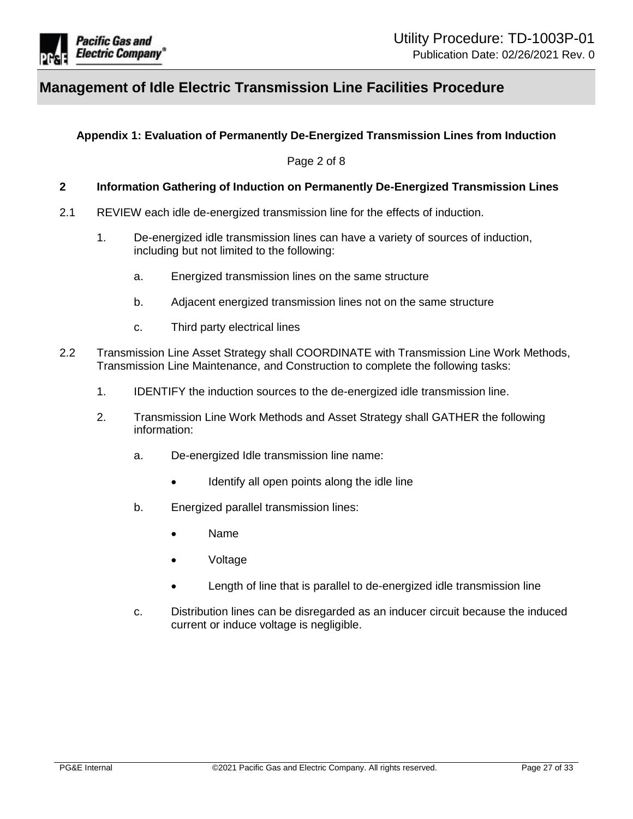

## **Appendix 1: Evaluation of Permanently De-Energized Transmission Lines from Induction**

Page 2 of 8

#### <span id="page-26-0"></span>**2 Information Gathering of Induction on Permanently De-Energized Transmission Lines**

- 2.1 REVIEW each idle de-energized transmission line for the effects of induction.
	- 1. De-energized idle transmission lines can have a variety of sources of induction, including but not limited to the following:
		- a. Energized transmission lines on the same structure
		- b. Adjacent energized transmission lines not on the same structure
		- c. Third party electrical lines
- 2.2 Transmission Line Asset Strategy shall COORDINATE with Transmission Line Work Methods, Transmission Line Maintenance, and Construction to complete the following tasks:
	- 1. IDENTIFY the induction sources to the de-energized idle transmission line.
	- 2. Transmission Line Work Methods and Asset Strategy shall GATHER the following information:
		- a. De-energized Idle transmission line name:
			- Identify all open points along the idle line
		- b. Energized parallel transmission lines:
			- Name
			- Voltage
			- Length of line that is parallel to de-energized idle transmission line
		- c. Distribution lines can be disregarded as an inducer circuit because the induced current or induce voltage is negligible.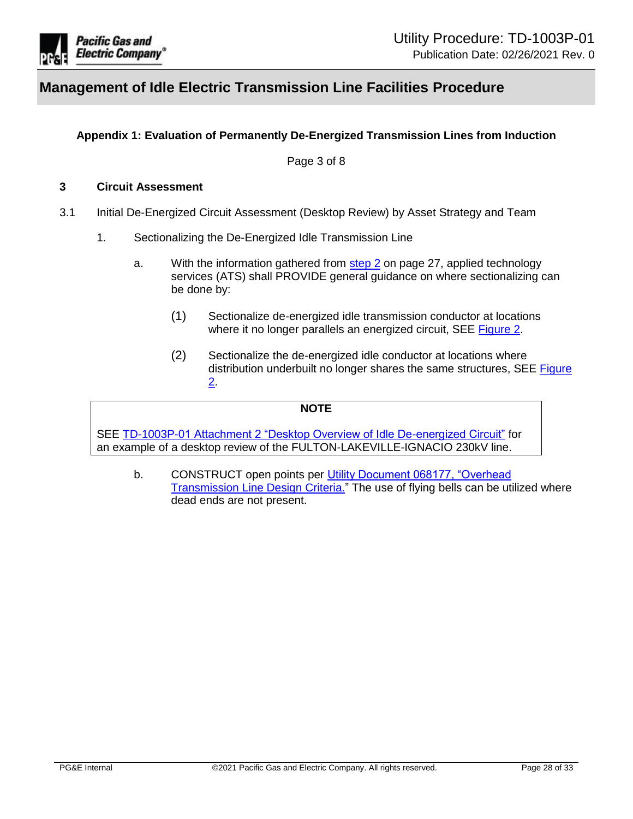

## **Appendix 1: Evaluation of Permanently De-Energized Transmission Lines from Induction**

Page 3 of 8

#### **3 Circuit Assessment**

- 3.1 Initial De-Energized Circuit Assessment (Desktop Review) by Asset Strategy and Team
	- 1. Sectionalizing the De-Energized Idle Transmission Line
		- a. With the information gathered from [step 2](#page-26-0) on page 27, applied technology services (ATS) shall PROVIDE general guidance on where sectionalizing can be done by:
			- (1) Sectionalize de-energized idle transmission conductor at locations where it no longer parallels an energized circuit, SEE [Figure 2.](#page-28-0)
			- (2) Sectionalize the de-energized idle conductor at locations where distribution underbuilt no longer shares the same structures, SEE [Figure](#page-28-0)  [2.](#page-28-0)

#### **NOTE**

SEE [TD-1003P-01 Attachment 2 "Desktop Overview of Idle De-energized Circuit"](https://ecmappwlsp01c2.comp.pge.com/TILVIEWER?chronicleId=09131aad8d9296ea&vd=true&device=false) for an example of a desktop review of the FULTON-LAKEVILLE-IGNACIO 230kV line.

b. CONSTRUCT open points per [Utility Document 068177, "Overhead](https://ecmappwlsp01c2.comp.pge.com/TILVIEWER?chronicleId=09131aad80e08737&vd=false&device=false)  [Transmission Line Design Criteria."](https://ecmappwlsp01c2.comp.pge.com/TILVIEWER?chronicleId=09131aad80e08737&vd=false&device=false) The use of flying bells can be utilized where dead ends are not present.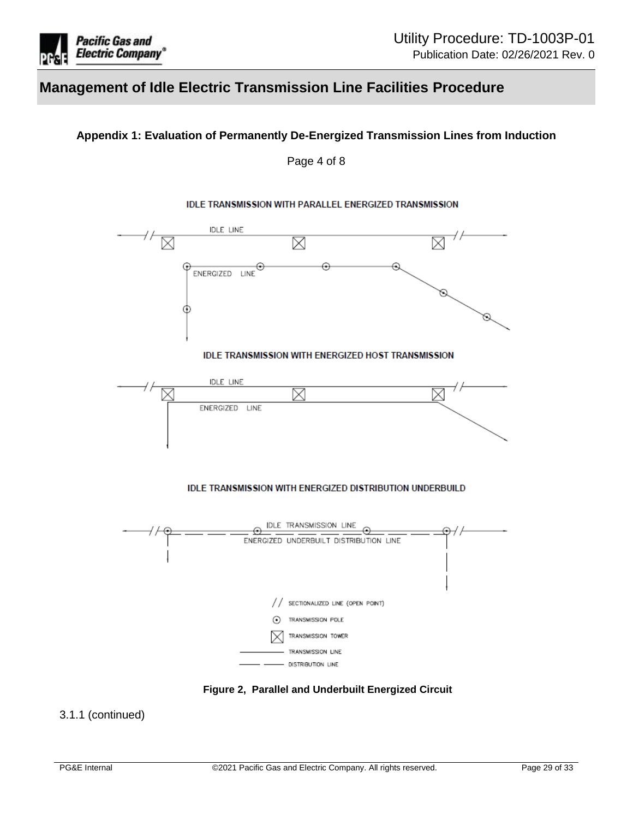

## **Appendix 1: Evaluation of Permanently De-Energized Transmission Lines from Induction**

Page 4 of 8

#### **IDLE TRANSMISSION WITH PARALLEL ENERGIZED TRANSMISSION**



**Figure 2, Parallel and Underbuilt Energized Circuit**

### <span id="page-28-0"></span>3.1.1 (continued)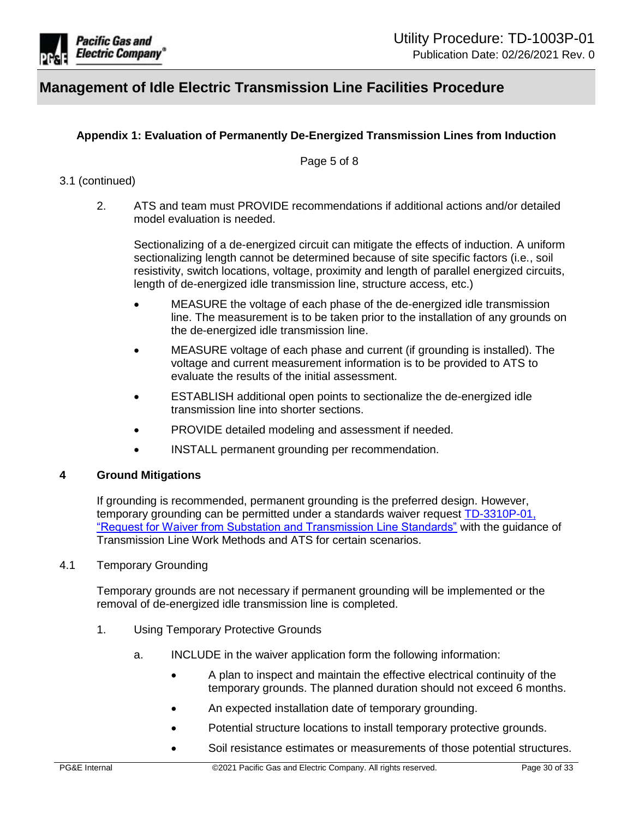

## **Appendix 1: Evaluation of Permanently De-Energized Transmission Lines from Induction**

Page 5 of 8

## 3.1 (continued)

2. ATS and team must PROVIDE recommendations if additional actions and/or detailed model evaluation is needed.

Sectionalizing of a de-energized circuit can mitigate the effects of induction. A uniform sectionalizing length cannot be determined because of site specific factors (i.e., soil resistivity, switch locations, voltage, proximity and length of parallel energized circuits, length of de-energized idle transmission line, structure access, etc.)

- MEASURE the voltage of each phase of the de-energized idle transmission line. The measurement is to be taken prior to the installation of any grounds on the de-energized idle transmission line.
- MEASURE voltage of each phase and current (if grounding is installed). The voltage and current measurement information is to be provided to ATS to evaluate the results of the initial assessment.
- ESTABLISH additional open points to sectionalize the de-energized idle transmission line into shorter sections.
- PROVIDE detailed modeling and assessment if needed.
- INSTALL permanent grounding per recommendation.

#### **4 Ground Mitigations**

If grounding is recommended, permanent grounding is the preferred design. However, temporary grounding can be permitted under a standards waiver request [TD-3310P-01,](https://ecmappwlsp01c2.comp.pge.com/TILVIEWER?chronicleId=09131aad80e05d70&vd=true&device=false)  ["Request for Waiver from Substation and Transmission Line Standards"](https://ecmappwlsp01c2.comp.pge.com/TILVIEWER?chronicleId=09131aad80e05d70&vd=true&device=false) with the guidance of Transmission Line Work Methods and ATS for certain scenarios.

4.1 Temporary Grounding

Temporary grounds are not necessary if permanent grounding will be implemented or the removal of de-energized idle transmission line is completed.

- 1. Using Temporary Protective Grounds
	- a. INCLUDE in the waiver application form the following information:
		- A plan to inspect and maintain the effective electrical continuity of the temporary grounds. The planned duration should not exceed 6 months.
		- An expected installation date of temporary grounding.
		- Potential structure locations to install temporary protective grounds.
		- Soil resistance estimates or measurements of those potential structures.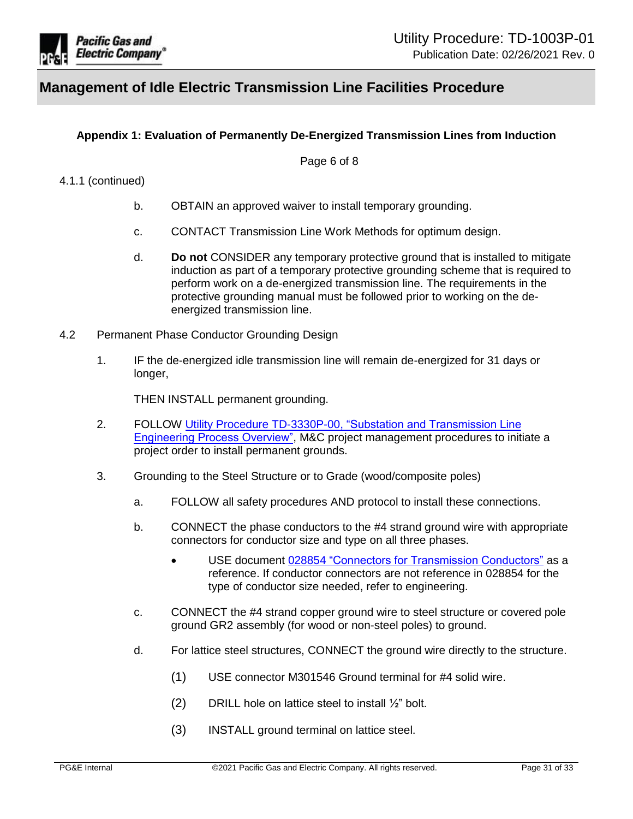

## **Appendix 1: Evaluation of Permanently De-Energized Transmission Lines from Induction**

Page 6 of 8

### 4.1.1 (continued)

- b. OBTAIN an approved waiver to install temporary grounding.
- c. CONTACT Transmission Line Work Methods for optimum design.
- d. **Do not** CONSIDER any temporary protective ground that is installed to mitigate induction as part of a temporary protective grounding scheme that is required to perform work on a de-energized transmission line. The requirements in the protective grounding manual must be followed prior to working on the deenergized transmission line.
- 4.2 Permanent Phase Conductor Grounding Design
	- 1. IF the de-energized idle transmission line will remain de-energized for 31 days or longer,

THEN INSTALL permanent grounding.

- 2. FOLLOW Utility Procedure TD-3330P-00, ["Substation and Transmission Line](https://ecmappwlsp01c2.comp.pge.com/TILVIEWER?chronicleId=09131aad80e00474&vd=true&device=false)  [Engineering Process Overview",](https://ecmappwlsp01c2.comp.pge.com/TILVIEWER?chronicleId=09131aad80e00474&vd=true&device=false) M&C project management procedures to initiate a project order to install permanent grounds.
- 3. Grounding to the Steel Structure or to Grade (wood/composite poles)
	- a. FOLLOW all safety procedures AND protocol to install these connections.
	- b. CONNECT the phase conductors to the #4 strand ground wire with appropriate connectors for conductor size and type on all three phases.
		- USE document 028854 ["Connectors for Transmission Conductors"](https://ecmappwlsp01c2.comp.pge.com/TILVIEWER?chronicleId=09131aad80dfa0ea&vd=false&device=false) as a reference. If conductor connectors are not reference in 028854 for the type of conductor size needed, refer to engineering.
	- c. CONNECT the #4 strand copper ground wire to steel structure or covered pole ground GR2 assembly (for wood or non-steel poles) to ground.
	- d. For lattice steel structures, CONNECT the ground wire directly to the structure.
		- (1) USE connector M301546 Ground terminal for #4 solid wire.
		- (2) DRILL hole on lattice steel to install  $\frac{1}{2}$ " bolt.
		- (3) INSTALL ground terminal on lattice steel.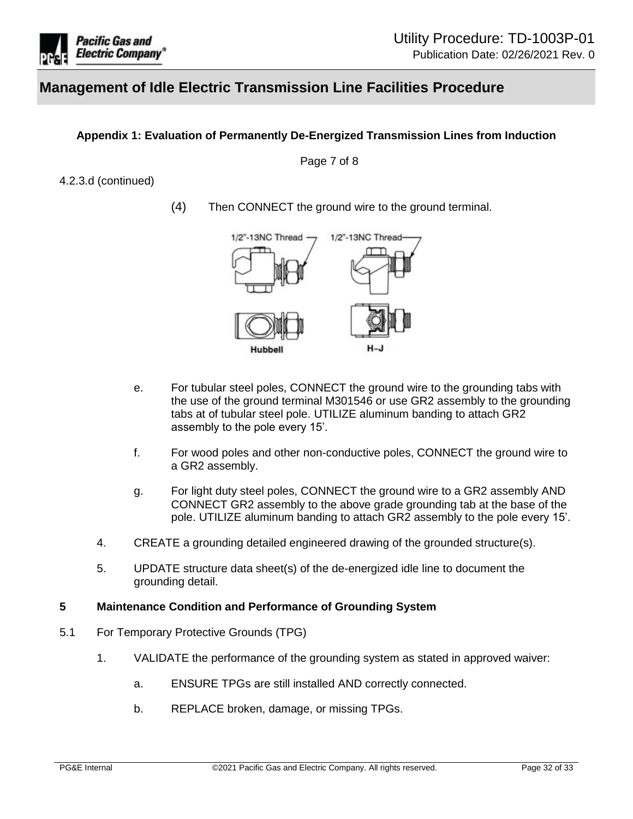

## **Appendix 1: Evaluation of Permanently De-Energized Transmission Lines from Induction**

Page 7 of 8

### 4.2.3.d (continued)

(4) Then CONNECT the ground wire to the ground terminal.



- e. For tubular steel poles, CONNECT the ground wire to the grounding tabs with the use of the ground terminal M301546 or use GR2 assembly to the grounding tabs at of tubular steel pole. UTILIZE aluminum banding to attach GR2 assembly to the pole every 15'.
- f. For wood poles and other non-conductive poles, CONNECT the ground wire to a GR2 assembly.
- g. For light duty steel poles, CONNECT the ground wire to a GR2 assembly AND CONNECT GR2 assembly to the above grade grounding tab at the base of the pole. UTILIZE aluminum banding to attach GR2 assembly to the pole every 15'.
- 4. CREATE a grounding detailed engineered drawing of the grounded structure(s).
- 5. UPDATE structure data sheet(s) of the de-energized idle line to document the grounding detail.

#### **5 Maintenance Condition and Performance of Grounding System**

- 5.1 For Temporary Protective Grounds (TPG)
	- 1. VALIDATE the performance of the grounding system as stated in approved waiver:
		- a. ENSURE TPGs are still installed AND correctly connected.
		- b. REPLACE broken, damage, or missing TPGs.